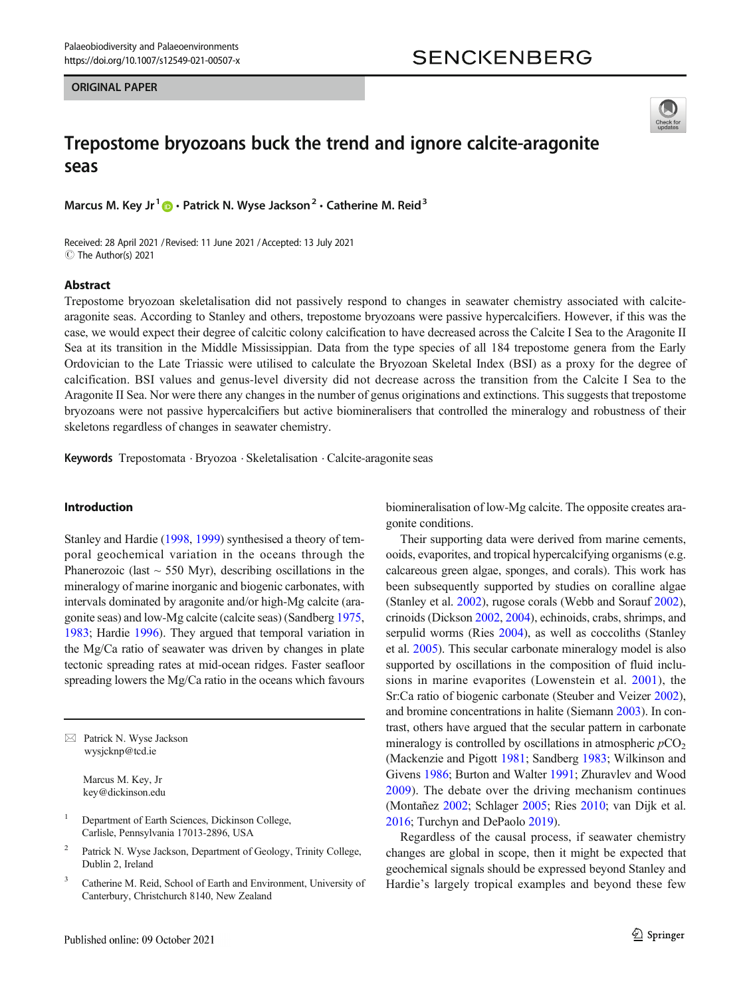### ORIGINAL PAPER





# Trepostome bryozoans buck the trend and ignore calcite-aragonite seas

Marcus M. Key Jr<sup>1</sup>  $\bullet$  · Patrick N. Wyse Jackson<sup>2</sup> · Catherine M. Reid<sup>3</sup>

Received: 28 April 2021 / Revised: 11 June 2021 /Accepted: 13 July 2021  $\circledcirc$  The Author(s) 2021

#### Abstract

Trepostome bryozoan skeletalisation did not passively respond to changes in seawater chemistry associated with calcitearagonite seas. According to Stanley and others, trepostome bryozoans were passive hypercalcifiers. However, if this was the case, we would expect their degree of calcitic colony calcification to have decreased across the Calcite I Sea to the Aragonite II Sea at its transition in the Middle Mississippian. Data from the type species of all 184 trepostome genera from the Early Ordovician to the Late Triassic were utilised to calculate the Bryozoan Skeletal Index (BSI) as a proxy for the degree of calcification. BSI values and genus-level diversity did not decrease across the transition from the Calcite I Sea to the Aragonite II Sea. Nor were there any changes in the number of genus originations and extinctions. This suggests that trepostome bryozoans were not passive hypercalcifiers but active biomineralisers that controlled the mineralogy and robustness of their skeletons regardless of changes in seawater chemistry.

Keywords Trepostomata . Bryozoa . Skeletalisation . Calcite-aragonite seas

## Introduction

Stanley and Hardie ([1998](#page-9-0), [1999\)](#page-9-0) synthesised a theory of temporal geochemical variation in the oceans through the Phanerozoic (last  $\sim$  550 Myr), describing oscillations in the mineralogy of marine inorganic and biogenic carbonates, with intervals dominated by aragonite and/or high-Mg calcite (aragonite seas) and low-Mg calcite (calcite seas) (Sandberg [1975,](#page-9-0) [1983;](#page-9-0) Hardie [1996\)](#page-9-0). They argued that temporal variation in the Mg/Ca ratio of seawater was driven by changes in plate tectonic spreading rates at mid-ocean ridges. Faster seafloor spreading lowers the Mg/Ca ratio in the oceans which favours

 $\boxtimes$  Patrick N. Wyse Jackson [wysjcknp@tcd.ie](mailto:wysjcknp@tcd.ie)

> Marcus M. Key, Jr key@dickinson.edu

<sup>1</sup> Department of Earth Sciences, Dickinson College, Carlisle, Pennsylvania 17013-2896, USA

- Patrick N. Wyse Jackson, Department of Geology, Trinity College, Dublin 2, Ireland
- <sup>3</sup> Catherine M. Reid, School of Earth and Environment, University of Canterbury, Christchurch 8140, New Zealand

biomineralisation of low-Mg calcite. The opposite creates aragonite conditions.

Their supporting data were derived from marine cements, ooids, evaporites, and tropical hypercalcifying organisms (e.g. calcareous green algae, sponges, and corals). This work has been subsequently supported by studies on coralline algae (Stanley et al. [2002](#page-9-0)), rugose corals (Webb and Sorauf [2002\)](#page-10-0), crinoids (Dickson [2002,](#page-8-0) [2004\)](#page-8-0), echinoids, crabs, shrimps, and serpulid worms (Ries [2004](#page-9-0)), as well as coccoliths (Stanley et al. [2005](#page-9-0)). This secular carbonate mineralogy model is also supported by oscillations in the composition of fluid inclusions in marine evaporites (Lowenstein et al. [2001\)](#page-9-0), the Sr:Ca ratio of biogenic carbonate (Steuber and Veizer [2002\)](#page-9-0), and bromine concentrations in halite (Siemann [2003\)](#page-9-0). In contrast, others have argued that the secular pattern in carbonate mineralogy is controlled by oscillations in atmospheric  $pCO<sub>2</sub>$ (Mackenzie and Pigott [1981;](#page-9-0) Sandberg [1983](#page-9-0); Wilkinson and Givens [1986;](#page-10-0) Burton and Walter [1991;](#page-8-0) Zhuravlev and Wood [2009](#page-10-0)). The debate over the driving mechanism continues (Montañez [2002](#page-9-0); Schlager [2005;](#page-9-0) Ries [2010](#page-9-0); van Dijk et al. [2016;](#page-10-0) Turchyn and DePaolo [2019\)](#page-10-0).

Regardless of the causal process, if seawater chemistry changes are global in scope, then it might be expected that geochemical signals should be expressed beyond Stanley and Hardie's largely tropical examples and beyond these few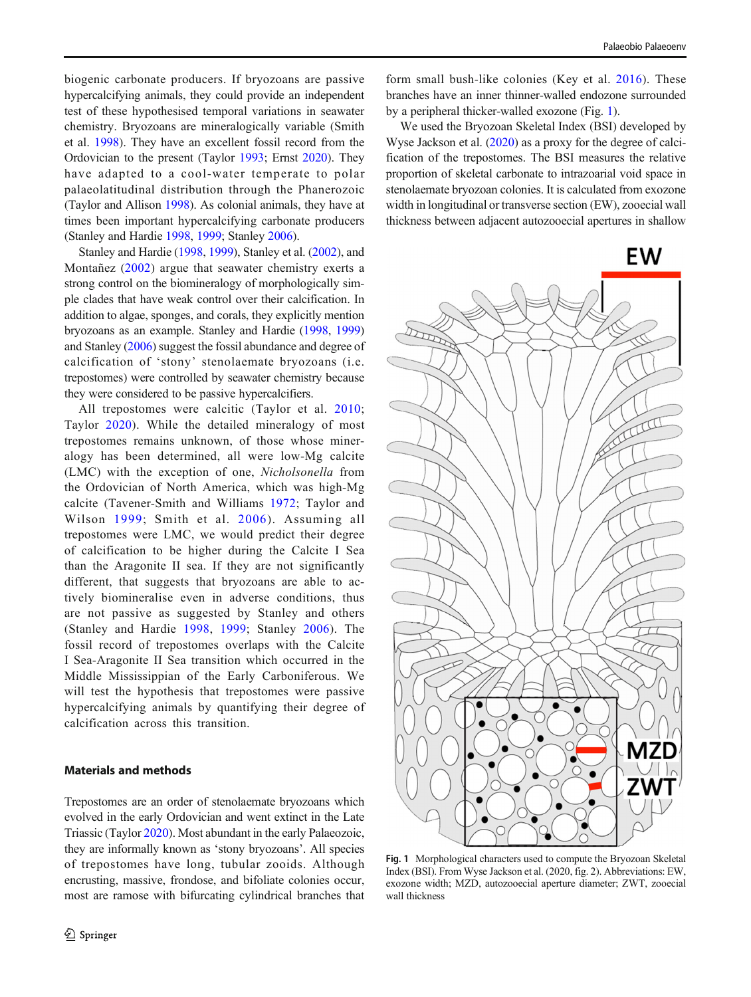<span id="page-1-0"></span>biogenic carbonate producers. If bryozoans are passive hypercalcifying animals, they could provide an independent test of these hypothesised temporal variations in seawater chemistry. Bryozoans are mineralogically variable (Smith et al. [1998\)](#page-9-0). They have an excellent fossil record from the Ordovician to the present (Taylor [1993](#page-10-0); Ernst [2020\)](#page-8-0). They have adapted to a cool-water temperate to polar palaeolatitudinal distribution through the Phanerozoic (Taylor and Allison [1998](#page-10-0)). As colonial animals, they have at times been important hypercalcifying carbonate producers (Stanley and Hardie [1998,](#page-9-0) [1999;](#page-9-0) Stanley [2006](#page-9-0)).

Stanley and Hardie [\(1998,](#page-9-0) [1999](#page-9-0)), Stanley et al. ([2002](#page-9-0)), and Montañez ([2002\)](#page-9-0) argue that seawater chemistry exerts a strong control on the biomineralogy of morphologically simple clades that have weak control over their calcification. In addition to algae, sponges, and corals, they explicitly mention bryozoans as an example. Stanley and Hardie ([1998](#page-9-0), [1999\)](#page-9-0) and Stanley [\(2006\)](#page-9-0) suggest the fossil abundance and degree of calcification of 'stony' stenolaemate bryozoans (i.e. trepostomes) were controlled by seawater chemistry because they were considered to be passive hypercalcifiers.

All trepostomes were calcitic (Taylor et al. [2010](#page-10-0); Taylor [2020\)](#page-10-0). While the detailed mineralogy of most trepostomes remains unknown, of those whose mineralogy has been determined, all were low-Mg calcite (LMC) with the exception of one, Nicholsonella from the Ordovician of North America, which was high-Mg calcite (Tavener-Smith and Williams [1972;](#page-10-0) Taylor and Wilson [1999](#page-10-0); Smith et al. [2006](#page-9-0)). Assuming all trepostomes were LMC, we would predict their degree of calcification to be higher during the Calcite I Sea than the Aragonite II sea. If they are not significantly different, that suggests that bryozoans are able to actively biomineralise even in adverse conditions, thus are not passive as suggested by Stanley and others (Stanley and Hardie [1998](#page-9-0), [1999](#page-9-0); Stanley [2006\)](#page-9-0). The fossil record of trepostomes overlaps with the Calcite I Sea-Aragonite II Sea transition which occurred in the Middle Mississippian of the Early Carboniferous. We will test the hypothesis that trepostomes were passive hypercalcifying animals by quantifying their degree of calcification across this transition.

### Materials and methods

Trepostomes are an order of stenolaemate bryozoans which evolved in the early Ordovician and went extinct in the Late Triassic (Taylor [2020\)](#page-10-0). Most abundant in the early Palaeozoic, they are informally known as 'stony bryozoans'. All species of trepostomes have long, tubular zooids. Although encrusting, massive, frondose, and bifoliate colonies occur, most are ramose with bifurcating cylindrical branches that

form small bush-like colonies (Key et al. [2016\)](#page-9-0). These branches have an inner thinner-walled endozone surrounded by a peripheral thicker-walled exozone (Fig. 1).

We used the Bryozoan Skeletal Index (BSI) developed by Wyse Jackson et al. [\(2020](#page-10-0)) as a proxy for the degree of calcification of the trepostomes. The BSI measures the relative proportion of skeletal carbonate to intrazoarial void space in stenolaemate bryozoan colonies. It is calculated from exozone width in longitudinal or transverse section (EW), zooecial wall thickness between adjacent autozooecial apertures in shallow



Fig. 1 Morphological characters used to compute the Bryozoan Skeletal Index (BSI). From Wyse Jackson et al. (2020, fig. 2). Abbreviations: EW, exozone width; MZD, autozooecial aperture diameter; ZWT, zooecial wall thickness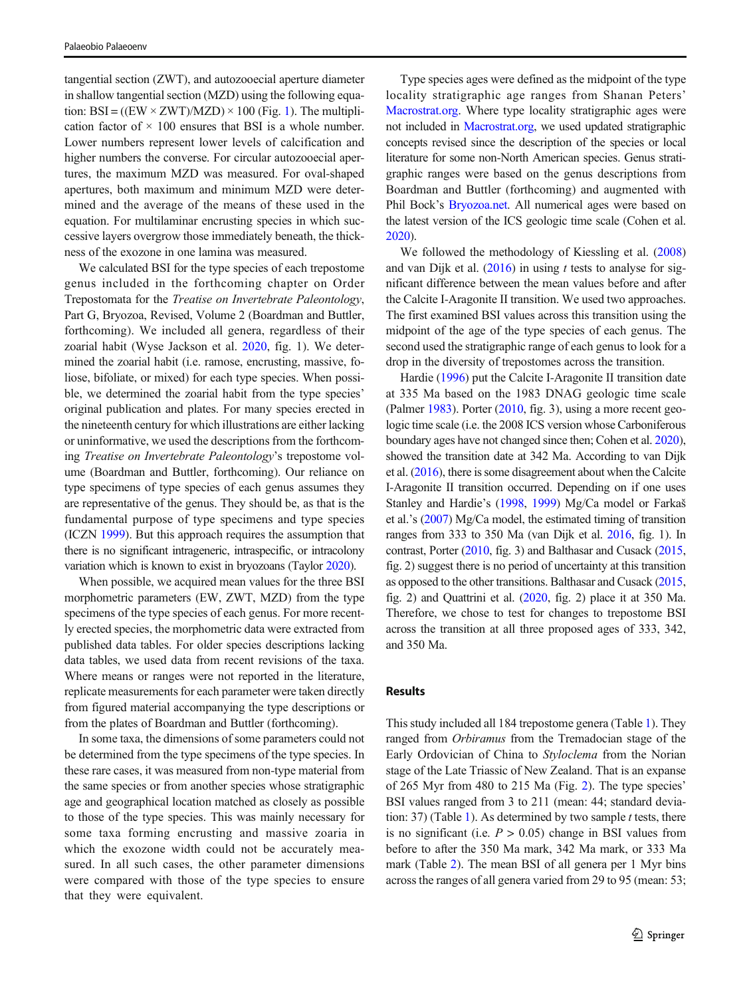tangential section (ZWT), and autozooecial aperture diameter in shallow tangential section (MZD) using the following equation:  $BSI = ((EW \times ZWT)/MZD) \times 100$  $BSI = ((EW \times ZWT)/MZD) \times 100$  $BSI = ((EW \times ZWT)/MZD) \times 100$  (Fig. 1). The multiplication factor of  $\times$  100 ensures that BSI is a whole number. Lower numbers represent lower levels of calcification and higher numbers the converse. For circular autozooecial apertures, the maximum MZD was measured. For oval-shaped apertures, both maximum and minimum MZD were determined and the average of the means of these used in the equation. For multilaminar encrusting species in which successive layers overgrow those immediately beneath, the thickness of the exozone in one lamina was measured.

We calculated BSI for the type species of each trepostome genus included in the forthcoming chapter on Order Trepostomata for the Treatise on Invertebrate Paleontology, Part G, Bryozoa, Revised, Volume 2 (Boardman and Buttler, forthcoming). We included all genera, regardless of their zoarial habit (Wyse Jackson et al. [2020,](#page-10-0) fig. 1). We determined the zoarial habit (i.e. ramose, encrusting, massive, foliose, bifoliate, or mixed) for each type species. When possible, we determined the zoarial habit from the type species' original publication and plates. For many species erected in the nineteenth century for which illustrations are either lacking or uninformative, we used the descriptions from the forthcoming Treatise on Invertebrate Paleontology's trepostome volume (Boardman and Buttler, forthcoming). Our reliance on type specimens of type species of each genus assumes they are representative of the genus. They should be, as that is the fundamental purpose of type specimens and type species (ICZN [1999](#page-9-0)). But this approach requires the assumption that there is no significant intrageneric, intraspecific, or intracolony variation which is known to exist in bryozoans (Taylor [2020\)](#page-10-0).

When possible, we acquired mean values for the three BSI morphometric parameters (EW, ZWT, MZD) from the type specimens of the type species of each genus. For more recently erected species, the morphometric data were extracted from published data tables. For older species descriptions lacking data tables, we used data from recent revisions of the taxa. Where means or ranges were not reported in the literature, replicate measurements for each parameter were taken directly from figured material accompanying the type descriptions or from the plates of Boardman and Buttler (forthcoming).

In some taxa, the dimensions of some parameters could not be determined from the type specimens of the type species. In these rare cases, it was measured from non-type material from the same species or from another species whose stratigraphic age and geographical location matched as closely as possible to those of the type species. This was mainly necessary for some taxa forming encrusting and massive zoaria in which the exozone width could not be accurately measured. In all such cases, the other parameter dimensions were compared with those of the type species to ensure that they were equivalent.

Type species ages were defined as the midpoint of the type locality stratigraphic age ranges from Shanan Peters' [Macrostrat.org](http://macrostrat.org). Where type locality stratigraphic ages were not included in [Macrostrat.org](http://macrostrat.org), we used updated stratigraphic concepts revised since the description of the species or local literature for some non-North American species. Genus stratigraphic ranges were based on the genus descriptions from Boardman and Buttler (forthcoming) and augmented with Phil Bock's [Bryozoa.net](http://bryozoa.net). All numerical ages were based on the latest version of the ICS geologic time scale (Cohen et al. [2020](#page-8-0)).

We followed the methodology of Kiessling et al. [\(2008](#page-9-0)) and van Dijk et al.  $(2016)$  in using t tests to analyse for significant difference between the mean values before and after the Calcite I-Aragonite II transition. We used two approaches. The first examined BSI values across this transition using the midpoint of the age of the type species of each genus. The second used the stratigraphic range of each genus to look for a drop in the diversity of trepostomes across the transition.

Hardie [\(1996\)](#page-9-0) put the Calcite I-Aragonite II transition date at 335 Ma based on the 1983 DNAG geologic time scale (Palmer [1983\)](#page-9-0). Porter ([2010](#page-9-0), fig. 3), using a more recent geologic time scale (i.e. the 2008 ICS version whose Carboniferous boundary ages have not changed since then; Cohen et al. [2020\)](#page-8-0), showed the transition date at 342 Ma. According to van Dijk et al. ([2016\)](#page-10-0), there is some disagreement about when the Calcite I-Aragonite II transition occurred. Depending on if one uses Stanley and Hardie's [\(1998,](#page-9-0) [1999](#page-9-0)) Mg/Ca model or Farkaš et al.'s ([2007\)](#page-9-0) Mg/Ca model, the estimated timing of transition ranges from 333 to 350 Ma (van Dijk et al. [2016,](#page-10-0) fig. 1). In contrast, Porter [\(2010](#page-9-0), fig. 3) and Balthasar and Cusack ([2015,](#page-8-0) fig. 2) suggest there is no period of uncertainty at this transition as opposed to the other transitions. Balthasar and Cusack ([2015,](#page-8-0) fig. 2) and Quattrini et al. [\(2020](#page-9-0), fig. 2) place it at 350 Ma. Therefore, we chose to test for changes to trepostome BSI across the transition at all three proposed ages of 333, 342, and 350 Ma.

#### Results

This study included all 184 trepostome genera (Table [1\)](#page-4-0). They ranged from *Orbiramus* from the Tremadocian stage of the Early Ordovician of China to Styloclema from the Norian stage of the Late Triassic of New Zealand. That is an expanse of 265 Myr from 480 to 215 Ma (Fig. [2](#page-3-0)). The type species' BSI values ranged from 3 to 211 (mean: 44; standard devia-tion: 37) (Table [1](#page-4-0)). As determined by two sample  $t$  tests, there is no significant (i.e.  $P > 0.05$ ) change in BSI values from before to after the 350 Ma mark, 342 Ma mark, or 333 Ma mark (Table [2](#page-7-0)). The mean BSI of all genera per 1 Myr bins across the ranges of all genera varied from 29 to 95 (mean: 53;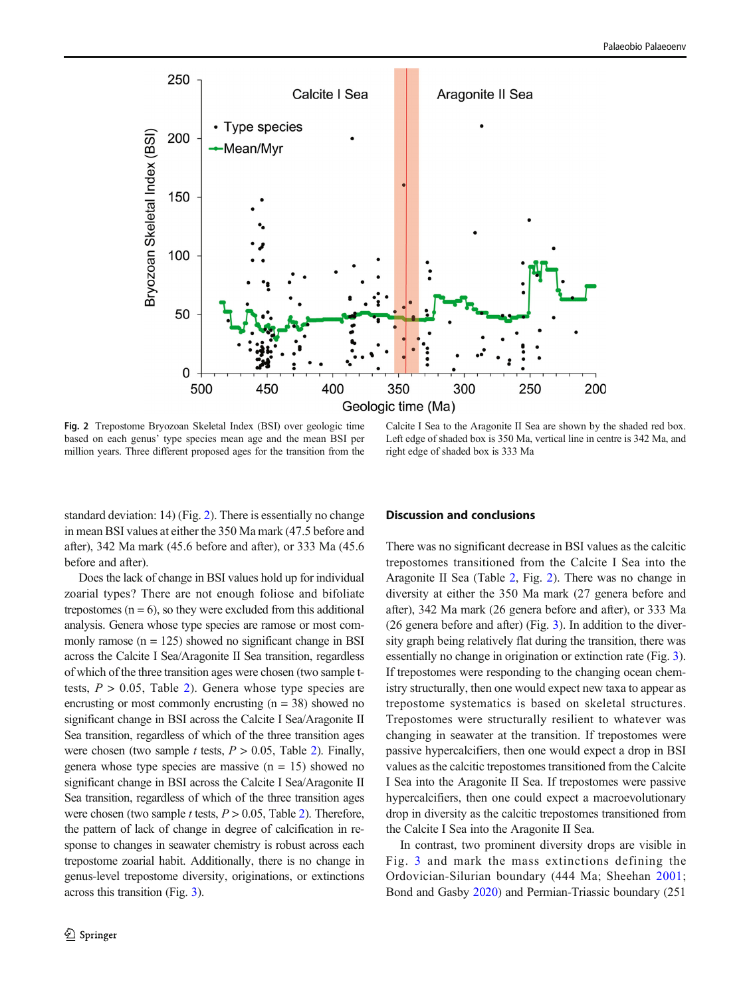<span id="page-3-0"></span>

Fig. 2 Trepostome Bryozoan Skeletal Index (BSI) over geologic time based on each genus' type species mean age and the mean BSI per million years. Three different proposed ages for the transition from the

Calcite I Sea to the Aragonite II Sea are shown by the shaded red box. Left edge of shaded box is 350 Ma, vertical line in centre is 342 Ma, and right edge of shaded box is 333 Ma

standard deviation: 14) (Fig. 2). There is essentially no change in mean BSI values at either the 350 Ma mark (47.5 before and after), 342 Ma mark (45.6 before and after), or 333 Ma (45.6 before and after).

Does the lack of change in BSI values hold up for individual zoarial types? There are not enough foliose and bifoliate trepostomes  $(n = 6)$ , so they were excluded from this additional analysis. Genera whose type species are ramose or most commonly ramose  $(n = 125)$  showed no significant change in BSI across the Calcite I Sea/Aragonite II Sea transition, regardless of which of the three transition ages were chosen (two sample ttests,  $P > 0.05$ , Table [2\)](#page-7-0). Genera whose type species are encrusting or most commonly encrusting  $(n = 38)$  showed no significant change in BSI across the Calcite I Sea/Aragonite II Sea transition, regardless of which of the three transition ages were chosen (two sample t tests,  $P > 0.05$ , Table [2](#page-7-0)). Finally, genera whose type species are massive  $(n = 15)$  showed no significant change in BSI across the Calcite I Sea/Aragonite II Sea transition, regardless of which of the three transition ages were chosen (two sample *t* tests,  $P > 0.05$ , Table [2\)](#page-7-0). Therefore, the pattern of lack of change in degree of calcification in response to changes in seawater chemistry is robust across each trepostome zoarial habit. Additionally, there is no change in genus-level trepostome diversity, originations, or extinctions across this transition (Fig. [3\)](#page-7-0).

#### Discussion and conclusions

There was no significant decrease in BSI values as the calcitic trepostomes transitioned from the Calcite I Sea into the Aragonite II Sea (Table [2](#page-7-0), Fig. 2). There was no change in diversity at either the 350 Ma mark (27 genera before and after), 342 Ma mark (26 genera before and after), or 333 Ma (26 genera before and after) (Fig. [3](#page-7-0)). In addition to the diversity graph being relatively flat during the transition, there was essentially no change in origination or extinction rate (Fig. [3\)](#page-7-0). If trepostomes were responding to the changing ocean chemistry structurally, then one would expect new taxa to appear as trepostome systematics is based on skeletal structures. Trepostomes were structurally resilient to whatever was changing in seawater at the transition. If trepostomes were passive hypercalcifiers, then one would expect a drop in BSI values as the calcitic trepostomes transitioned from the Calcite I Sea into the Aragonite II Sea. If trepostomes were passive hypercalcifiers, then one could expect a macroevolutionary drop in diversity as the calcitic trepostomes transitioned from the Calcite I Sea into the Aragonite II Sea.

In contrast, two prominent diversity drops are visible in Fig. [3](#page-7-0) and mark the mass extinctions defining the Ordovician-Silurian boundary (444 Ma; Sheehan [2001;](#page-9-0) Bond and Gasby [2020\)](#page-8-0) and Permian-Triassic boundary (251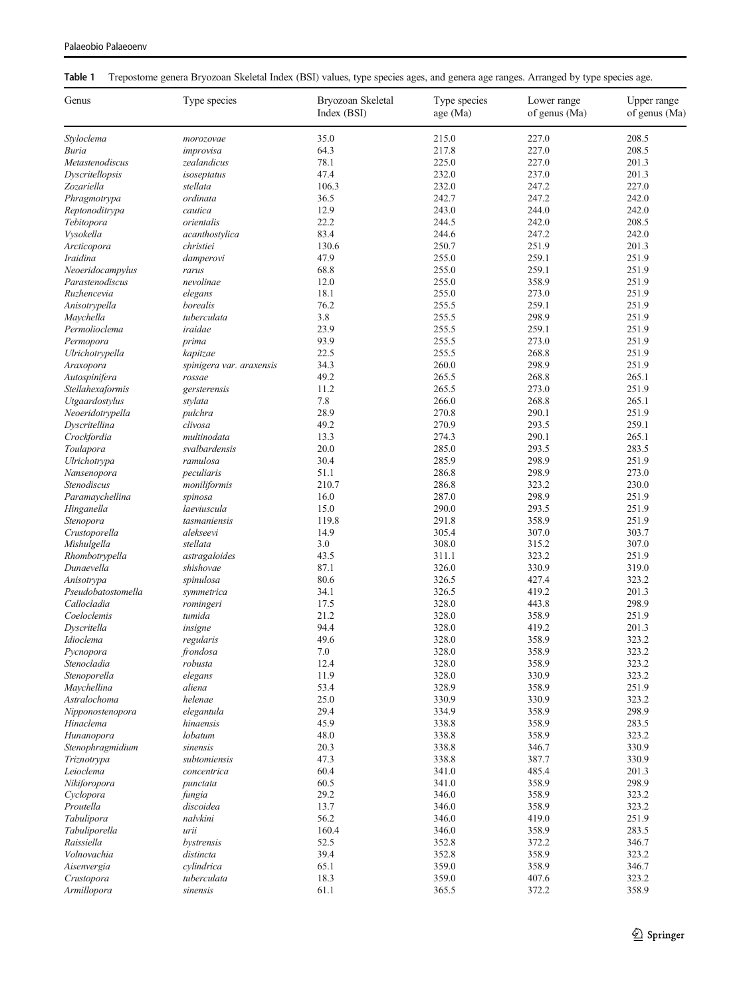<span id="page-4-0"></span>

|  | Table 1 Trepostome genera Bryozoan Skeletal Index (BSI) values, type species ages, and genera age ranges. Arranged by type species age. |  |  |  |  |
|--|-----------------------------------------------------------------------------------------------------------------------------------------|--|--|--|--|
|--|-----------------------------------------------------------------------------------------------------------------------------------------|--|--|--|--|

| 35.0<br>215.0<br>227.0<br>208.5<br>Styloclema<br>morozovae<br>64.3<br>217.8<br>227.0<br>208.5<br>Buria<br>improvisa<br>78.1<br>225.0<br>227.0<br>Metastenodiscus<br>zealandicus<br>201.3<br>47.4<br>232.0<br>237.0<br>201.3<br>Dyscritellopsis<br>isoseptatus<br>106.3<br>232.0<br>247.2<br>227.0<br>Zozariella<br>stellata<br>ordinata<br>36.5<br>242.7<br>247.2<br>242.0<br>Phragmotrypa<br>12.9<br>243.0<br>244.0<br>242.0<br>Reptonoditrypa<br>cautica<br>22.2<br>242.0<br>208.5<br>orientalis<br>244.5<br>Tebitopora<br>83.4<br>244.6<br>247.2<br>Vysokella<br>acanthostylica<br>242.0<br>130.6<br>250.7<br>251.9<br>201.3<br>Arcticopora<br>christiei<br>47.9<br>255.0<br>259.1<br>Iraidina<br>251.9<br>damperovi<br>259.1<br>Neoeridocampylus<br>68.8<br>255.0<br>251.9<br>rarus<br>358.9<br>Parastenodiscus<br>nevolinae<br>12.0<br>255.0<br>251.9<br>18.1<br>255.0<br>273.0<br>251.9<br>Ruzhencevia<br>elegans<br>borealis<br>76.2<br>255.5<br>259.1<br>Anisotrypella<br>251.9<br>3.8<br>255.5<br>298.9<br>251.9<br>Maychella<br>tuberculata<br>23.9<br>255.5<br>259.1<br>Permolioclema<br>iraidae<br>251.9<br>93.9<br>255.5<br>273.0<br>251.9<br>Permopora<br>prima<br>22.5<br>255.5<br>268.8<br>251.9<br>Ulrichotrypella<br>kapitzae<br>260.0<br>298.9<br>251.9<br>34.3<br>Araxopora<br>spinigera var. araxensis<br>49.2<br>265.5<br>268.8<br>265.1<br>Autospinifera<br>rossae<br>Stellahexaformis<br>11.2<br>265.5<br>273.0<br>251.9<br>gersterensis<br>$7.8\,$<br>266.0<br>268.8<br>265.1<br>Utgaardostylus<br>stylata<br>28.9<br>290.1<br>pulchra<br>270.8<br>251.9<br>Neoeridotrypella<br>49.2<br>Dyscritellina<br>clivosa<br>270.9<br>293.5<br>259.1<br>13.3<br>290.1<br>Crockfordia<br>multinodata<br>274.3<br>265.1<br>svalbardensis<br>20.0<br>285.0<br>293.5<br>283.5<br>Toulapora<br>30.4<br>285.9<br>298.9<br>251.9<br>Ulrichotrypa<br>ramulosa<br>51.1<br>286.8<br>298.9<br>peculiaris<br>273.0<br>Nansenopora<br>210.7<br>286.8<br>323.2<br>230.0<br>Stenodiscus<br>moniliformis<br>298.9<br>Paramaychellina<br>16.0<br>287.0<br>251.9<br>spinosa<br>293.5<br>15.0<br>290.0<br>251.9<br>Hinganella<br>laeviuscula<br>119.8<br>291.8<br>358.9<br>251.9<br>Stenopora<br>tasmaniensis<br>305.4<br>307.0<br>303.7<br>Crustoporella<br>alekseevi<br>14.9<br>3.0<br>308.0<br>315.2<br>307.0<br>Mishulgella<br>stellata<br>43.5<br>323.2<br>Rhombotrypella<br>astragaloides<br>311.1<br>251.9<br>330.9<br>shishovae<br>87.1<br>326.0<br>319.0<br>Dunaevella<br>80.6<br>326.5<br>427.4<br>323.2<br>Anisotrypa<br>spinulosa<br>419.2<br>Pseudobatostomella<br>34.1<br>326.5<br>201.3<br>symmetrica<br>Callocladia<br>17.5<br>328.0<br>443.8<br>298.9<br>romingeri<br>21.2<br>358.9<br>Coeloclemis<br>tumida<br>328.0<br>251.9<br>94.4<br>328.0<br>Dyscritella<br>insigne<br>419.2<br>201.3<br>49.6<br>328.0<br>358.9<br>323.2<br>Idioclema<br>regularis<br>frondosa<br>$7.0\,$<br>328.0<br>358.9<br>323.2<br>Pycnopora<br>Stenocladia<br>12.4<br>328.0<br>358.9<br>323.2<br>robusta<br>11.9<br>328.0<br>330.9<br>323.2<br>Stenoporella<br>elegans<br>aliena<br>53.4<br>328.9<br>358.9<br>251.9<br>Maychellina<br>25.0<br>330.9<br>330.9<br>323.2<br>Astralochoma<br>helenae<br>29.4<br>334.9<br>298.9<br>Nipponostenopora<br>elegantula<br>358.9<br>45.9<br>338.8<br>Hinaclema<br>hinaensis<br>358.9<br>283.5<br>48.0<br>lobatum<br>338.8<br>358.9<br>323.2<br>Hunanopora<br>20.3<br>338.8<br>330.9<br>Stenophragmidium<br>sinensis<br>346.7<br>47.3<br>338.8<br>387.7<br>330.9<br>subtomiensis<br>Triznotrypa<br>60.4<br>Leioclema<br>concentrica<br>341.0<br>485.4<br>201.3<br>60.5<br>341.0<br>358.9<br>298.9<br>Nikiforopora<br>punctata<br>29.2<br>346.0<br>Cyclopora<br>358.9<br>323.2<br>fungia<br>13.7<br>323.2<br>Proutella<br>discoidea<br>346.0<br>358.9<br>Tabulipora<br>nalvkini<br>56.2<br>346.0<br>419.0<br>251.9<br>160.4<br>358.9<br>283.5<br>Tabuliporella<br>urii<br>346.0<br>52.5<br>352.8<br>372.2<br>346.7<br>Raissiella<br>bystrensis<br>39.4<br>352.8<br>358.9<br>323.2<br>Volnovachia<br>distincta<br>65.1<br>359.0<br>358.9<br>346.7<br>Aisenvergia<br>cylindrica<br>tuberculata<br>18.3<br>359.0<br>407.6<br>323.2<br>Crustopora<br>358.9<br>Armillopora<br>sinensis<br>61.1<br>365.5<br>372.2 | Genus | Type species | Bryozoan Skeletal<br>Index (BSI) | Type species<br>age (Ma) | Lower range<br>of genus (Ma) | Upper range<br>of genus (Ma) |
|------------------------------------------------------------------------------------------------------------------------------------------------------------------------------------------------------------------------------------------------------------------------------------------------------------------------------------------------------------------------------------------------------------------------------------------------------------------------------------------------------------------------------------------------------------------------------------------------------------------------------------------------------------------------------------------------------------------------------------------------------------------------------------------------------------------------------------------------------------------------------------------------------------------------------------------------------------------------------------------------------------------------------------------------------------------------------------------------------------------------------------------------------------------------------------------------------------------------------------------------------------------------------------------------------------------------------------------------------------------------------------------------------------------------------------------------------------------------------------------------------------------------------------------------------------------------------------------------------------------------------------------------------------------------------------------------------------------------------------------------------------------------------------------------------------------------------------------------------------------------------------------------------------------------------------------------------------------------------------------------------------------------------------------------------------------------------------------------------------------------------------------------------------------------------------------------------------------------------------------------------------------------------------------------------------------------------------------------------------------------------------------------------------------------------------------------------------------------------------------------------------------------------------------------------------------------------------------------------------------------------------------------------------------------------------------------------------------------------------------------------------------------------------------------------------------------------------------------------------------------------------------------------------------------------------------------------------------------------------------------------------------------------------------------------------------------------------------------------------------------------------------------------------------------------------------------------------------------------------------------------------------------------------------------------------------------------------------------------------------------------------------------------------------------------------------------------------------------------------------------------------------------------------------------------------------------------------------------------------------------------------------------------------------------------------------------------------------------------------------------------------------------------------------------------------------------------------------------------------------------------------------------------------------------------------------------------------------------------------------------------------------------------------------------------------------------------------------------------------------------------------------------------------------------------------------------------------------------------------------|-------|--------------|----------------------------------|--------------------------|------------------------------|------------------------------|
|                                                                                                                                                                                                                                                                                                                                                                                                                                                                                                                                                                                                                                                                                                                                                                                                                                                                                                                                                                                                                                                                                                                                                                                                                                                                                                                                                                                                                                                                                                                                                                                                                                                                                                                                                                                                                                                                                                                                                                                                                                                                                                                                                                                                                                                                                                                                                                                                                                                                                                                                                                                                                                                                                                                                                                                                                                                                                                                                                                                                                                                                                                                                                                                                                                                                                                                                                                                                                                                                                                                                                                                                                                                                                                                                                                                                                                                                                                                                                                                                                                                                                                                                                                                                                                          |       |              |                                  |                          |                              |                              |
|                                                                                                                                                                                                                                                                                                                                                                                                                                                                                                                                                                                                                                                                                                                                                                                                                                                                                                                                                                                                                                                                                                                                                                                                                                                                                                                                                                                                                                                                                                                                                                                                                                                                                                                                                                                                                                                                                                                                                                                                                                                                                                                                                                                                                                                                                                                                                                                                                                                                                                                                                                                                                                                                                                                                                                                                                                                                                                                                                                                                                                                                                                                                                                                                                                                                                                                                                                                                                                                                                                                                                                                                                                                                                                                                                                                                                                                                                                                                                                                                                                                                                                                                                                                                                                          |       |              |                                  |                          |                              |                              |
|                                                                                                                                                                                                                                                                                                                                                                                                                                                                                                                                                                                                                                                                                                                                                                                                                                                                                                                                                                                                                                                                                                                                                                                                                                                                                                                                                                                                                                                                                                                                                                                                                                                                                                                                                                                                                                                                                                                                                                                                                                                                                                                                                                                                                                                                                                                                                                                                                                                                                                                                                                                                                                                                                                                                                                                                                                                                                                                                                                                                                                                                                                                                                                                                                                                                                                                                                                                                                                                                                                                                                                                                                                                                                                                                                                                                                                                                                                                                                                                                                                                                                                                                                                                                                                          |       |              |                                  |                          |                              |                              |
|                                                                                                                                                                                                                                                                                                                                                                                                                                                                                                                                                                                                                                                                                                                                                                                                                                                                                                                                                                                                                                                                                                                                                                                                                                                                                                                                                                                                                                                                                                                                                                                                                                                                                                                                                                                                                                                                                                                                                                                                                                                                                                                                                                                                                                                                                                                                                                                                                                                                                                                                                                                                                                                                                                                                                                                                                                                                                                                                                                                                                                                                                                                                                                                                                                                                                                                                                                                                                                                                                                                                                                                                                                                                                                                                                                                                                                                                                                                                                                                                                                                                                                                                                                                                                                          |       |              |                                  |                          |                              |                              |
|                                                                                                                                                                                                                                                                                                                                                                                                                                                                                                                                                                                                                                                                                                                                                                                                                                                                                                                                                                                                                                                                                                                                                                                                                                                                                                                                                                                                                                                                                                                                                                                                                                                                                                                                                                                                                                                                                                                                                                                                                                                                                                                                                                                                                                                                                                                                                                                                                                                                                                                                                                                                                                                                                                                                                                                                                                                                                                                                                                                                                                                                                                                                                                                                                                                                                                                                                                                                                                                                                                                                                                                                                                                                                                                                                                                                                                                                                                                                                                                                                                                                                                                                                                                                                                          |       |              |                                  |                          |                              |                              |
|                                                                                                                                                                                                                                                                                                                                                                                                                                                                                                                                                                                                                                                                                                                                                                                                                                                                                                                                                                                                                                                                                                                                                                                                                                                                                                                                                                                                                                                                                                                                                                                                                                                                                                                                                                                                                                                                                                                                                                                                                                                                                                                                                                                                                                                                                                                                                                                                                                                                                                                                                                                                                                                                                                                                                                                                                                                                                                                                                                                                                                                                                                                                                                                                                                                                                                                                                                                                                                                                                                                                                                                                                                                                                                                                                                                                                                                                                                                                                                                                                                                                                                                                                                                                                                          |       |              |                                  |                          |                              |                              |
|                                                                                                                                                                                                                                                                                                                                                                                                                                                                                                                                                                                                                                                                                                                                                                                                                                                                                                                                                                                                                                                                                                                                                                                                                                                                                                                                                                                                                                                                                                                                                                                                                                                                                                                                                                                                                                                                                                                                                                                                                                                                                                                                                                                                                                                                                                                                                                                                                                                                                                                                                                                                                                                                                                                                                                                                                                                                                                                                                                                                                                                                                                                                                                                                                                                                                                                                                                                                                                                                                                                                                                                                                                                                                                                                                                                                                                                                                                                                                                                                                                                                                                                                                                                                                                          |       |              |                                  |                          |                              |                              |
|                                                                                                                                                                                                                                                                                                                                                                                                                                                                                                                                                                                                                                                                                                                                                                                                                                                                                                                                                                                                                                                                                                                                                                                                                                                                                                                                                                                                                                                                                                                                                                                                                                                                                                                                                                                                                                                                                                                                                                                                                                                                                                                                                                                                                                                                                                                                                                                                                                                                                                                                                                                                                                                                                                                                                                                                                                                                                                                                                                                                                                                                                                                                                                                                                                                                                                                                                                                                                                                                                                                                                                                                                                                                                                                                                                                                                                                                                                                                                                                                                                                                                                                                                                                                                                          |       |              |                                  |                          |                              |                              |
|                                                                                                                                                                                                                                                                                                                                                                                                                                                                                                                                                                                                                                                                                                                                                                                                                                                                                                                                                                                                                                                                                                                                                                                                                                                                                                                                                                                                                                                                                                                                                                                                                                                                                                                                                                                                                                                                                                                                                                                                                                                                                                                                                                                                                                                                                                                                                                                                                                                                                                                                                                                                                                                                                                                                                                                                                                                                                                                                                                                                                                                                                                                                                                                                                                                                                                                                                                                                                                                                                                                                                                                                                                                                                                                                                                                                                                                                                                                                                                                                                                                                                                                                                                                                                                          |       |              |                                  |                          |                              |                              |
|                                                                                                                                                                                                                                                                                                                                                                                                                                                                                                                                                                                                                                                                                                                                                                                                                                                                                                                                                                                                                                                                                                                                                                                                                                                                                                                                                                                                                                                                                                                                                                                                                                                                                                                                                                                                                                                                                                                                                                                                                                                                                                                                                                                                                                                                                                                                                                                                                                                                                                                                                                                                                                                                                                                                                                                                                                                                                                                                                                                                                                                                                                                                                                                                                                                                                                                                                                                                                                                                                                                                                                                                                                                                                                                                                                                                                                                                                                                                                                                                                                                                                                                                                                                                                                          |       |              |                                  |                          |                              |                              |
|                                                                                                                                                                                                                                                                                                                                                                                                                                                                                                                                                                                                                                                                                                                                                                                                                                                                                                                                                                                                                                                                                                                                                                                                                                                                                                                                                                                                                                                                                                                                                                                                                                                                                                                                                                                                                                                                                                                                                                                                                                                                                                                                                                                                                                                                                                                                                                                                                                                                                                                                                                                                                                                                                                                                                                                                                                                                                                                                                                                                                                                                                                                                                                                                                                                                                                                                                                                                                                                                                                                                                                                                                                                                                                                                                                                                                                                                                                                                                                                                                                                                                                                                                                                                                                          |       |              |                                  |                          |                              |                              |
|                                                                                                                                                                                                                                                                                                                                                                                                                                                                                                                                                                                                                                                                                                                                                                                                                                                                                                                                                                                                                                                                                                                                                                                                                                                                                                                                                                                                                                                                                                                                                                                                                                                                                                                                                                                                                                                                                                                                                                                                                                                                                                                                                                                                                                                                                                                                                                                                                                                                                                                                                                                                                                                                                                                                                                                                                                                                                                                                                                                                                                                                                                                                                                                                                                                                                                                                                                                                                                                                                                                                                                                                                                                                                                                                                                                                                                                                                                                                                                                                                                                                                                                                                                                                                                          |       |              |                                  |                          |                              |                              |
|                                                                                                                                                                                                                                                                                                                                                                                                                                                                                                                                                                                                                                                                                                                                                                                                                                                                                                                                                                                                                                                                                                                                                                                                                                                                                                                                                                                                                                                                                                                                                                                                                                                                                                                                                                                                                                                                                                                                                                                                                                                                                                                                                                                                                                                                                                                                                                                                                                                                                                                                                                                                                                                                                                                                                                                                                                                                                                                                                                                                                                                                                                                                                                                                                                                                                                                                                                                                                                                                                                                                                                                                                                                                                                                                                                                                                                                                                                                                                                                                                                                                                                                                                                                                                                          |       |              |                                  |                          |                              |                              |
|                                                                                                                                                                                                                                                                                                                                                                                                                                                                                                                                                                                                                                                                                                                                                                                                                                                                                                                                                                                                                                                                                                                                                                                                                                                                                                                                                                                                                                                                                                                                                                                                                                                                                                                                                                                                                                                                                                                                                                                                                                                                                                                                                                                                                                                                                                                                                                                                                                                                                                                                                                                                                                                                                                                                                                                                                                                                                                                                                                                                                                                                                                                                                                                                                                                                                                                                                                                                                                                                                                                                                                                                                                                                                                                                                                                                                                                                                                                                                                                                                                                                                                                                                                                                                                          |       |              |                                  |                          |                              |                              |
|                                                                                                                                                                                                                                                                                                                                                                                                                                                                                                                                                                                                                                                                                                                                                                                                                                                                                                                                                                                                                                                                                                                                                                                                                                                                                                                                                                                                                                                                                                                                                                                                                                                                                                                                                                                                                                                                                                                                                                                                                                                                                                                                                                                                                                                                                                                                                                                                                                                                                                                                                                                                                                                                                                                                                                                                                                                                                                                                                                                                                                                                                                                                                                                                                                                                                                                                                                                                                                                                                                                                                                                                                                                                                                                                                                                                                                                                                                                                                                                                                                                                                                                                                                                                                                          |       |              |                                  |                          |                              |                              |
|                                                                                                                                                                                                                                                                                                                                                                                                                                                                                                                                                                                                                                                                                                                                                                                                                                                                                                                                                                                                                                                                                                                                                                                                                                                                                                                                                                                                                                                                                                                                                                                                                                                                                                                                                                                                                                                                                                                                                                                                                                                                                                                                                                                                                                                                                                                                                                                                                                                                                                                                                                                                                                                                                                                                                                                                                                                                                                                                                                                                                                                                                                                                                                                                                                                                                                                                                                                                                                                                                                                                                                                                                                                                                                                                                                                                                                                                                                                                                                                                                                                                                                                                                                                                                                          |       |              |                                  |                          |                              |                              |
|                                                                                                                                                                                                                                                                                                                                                                                                                                                                                                                                                                                                                                                                                                                                                                                                                                                                                                                                                                                                                                                                                                                                                                                                                                                                                                                                                                                                                                                                                                                                                                                                                                                                                                                                                                                                                                                                                                                                                                                                                                                                                                                                                                                                                                                                                                                                                                                                                                                                                                                                                                                                                                                                                                                                                                                                                                                                                                                                                                                                                                                                                                                                                                                                                                                                                                                                                                                                                                                                                                                                                                                                                                                                                                                                                                                                                                                                                                                                                                                                                                                                                                                                                                                                                                          |       |              |                                  |                          |                              |                              |
|                                                                                                                                                                                                                                                                                                                                                                                                                                                                                                                                                                                                                                                                                                                                                                                                                                                                                                                                                                                                                                                                                                                                                                                                                                                                                                                                                                                                                                                                                                                                                                                                                                                                                                                                                                                                                                                                                                                                                                                                                                                                                                                                                                                                                                                                                                                                                                                                                                                                                                                                                                                                                                                                                                                                                                                                                                                                                                                                                                                                                                                                                                                                                                                                                                                                                                                                                                                                                                                                                                                                                                                                                                                                                                                                                                                                                                                                                                                                                                                                                                                                                                                                                                                                                                          |       |              |                                  |                          |                              |                              |
|                                                                                                                                                                                                                                                                                                                                                                                                                                                                                                                                                                                                                                                                                                                                                                                                                                                                                                                                                                                                                                                                                                                                                                                                                                                                                                                                                                                                                                                                                                                                                                                                                                                                                                                                                                                                                                                                                                                                                                                                                                                                                                                                                                                                                                                                                                                                                                                                                                                                                                                                                                                                                                                                                                                                                                                                                                                                                                                                                                                                                                                                                                                                                                                                                                                                                                                                                                                                                                                                                                                                                                                                                                                                                                                                                                                                                                                                                                                                                                                                                                                                                                                                                                                                                                          |       |              |                                  |                          |                              |                              |
|                                                                                                                                                                                                                                                                                                                                                                                                                                                                                                                                                                                                                                                                                                                                                                                                                                                                                                                                                                                                                                                                                                                                                                                                                                                                                                                                                                                                                                                                                                                                                                                                                                                                                                                                                                                                                                                                                                                                                                                                                                                                                                                                                                                                                                                                                                                                                                                                                                                                                                                                                                                                                                                                                                                                                                                                                                                                                                                                                                                                                                                                                                                                                                                                                                                                                                                                                                                                                                                                                                                                                                                                                                                                                                                                                                                                                                                                                                                                                                                                                                                                                                                                                                                                                                          |       |              |                                  |                          |                              |                              |
|                                                                                                                                                                                                                                                                                                                                                                                                                                                                                                                                                                                                                                                                                                                                                                                                                                                                                                                                                                                                                                                                                                                                                                                                                                                                                                                                                                                                                                                                                                                                                                                                                                                                                                                                                                                                                                                                                                                                                                                                                                                                                                                                                                                                                                                                                                                                                                                                                                                                                                                                                                                                                                                                                                                                                                                                                                                                                                                                                                                                                                                                                                                                                                                                                                                                                                                                                                                                                                                                                                                                                                                                                                                                                                                                                                                                                                                                                                                                                                                                                                                                                                                                                                                                                                          |       |              |                                  |                          |                              |                              |
|                                                                                                                                                                                                                                                                                                                                                                                                                                                                                                                                                                                                                                                                                                                                                                                                                                                                                                                                                                                                                                                                                                                                                                                                                                                                                                                                                                                                                                                                                                                                                                                                                                                                                                                                                                                                                                                                                                                                                                                                                                                                                                                                                                                                                                                                                                                                                                                                                                                                                                                                                                                                                                                                                                                                                                                                                                                                                                                                                                                                                                                                                                                                                                                                                                                                                                                                                                                                                                                                                                                                                                                                                                                                                                                                                                                                                                                                                                                                                                                                                                                                                                                                                                                                                                          |       |              |                                  |                          |                              |                              |
|                                                                                                                                                                                                                                                                                                                                                                                                                                                                                                                                                                                                                                                                                                                                                                                                                                                                                                                                                                                                                                                                                                                                                                                                                                                                                                                                                                                                                                                                                                                                                                                                                                                                                                                                                                                                                                                                                                                                                                                                                                                                                                                                                                                                                                                                                                                                                                                                                                                                                                                                                                                                                                                                                                                                                                                                                                                                                                                                                                                                                                                                                                                                                                                                                                                                                                                                                                                                                                                                                                                                                                                                                                                                                                                                                                                                                                                                                                                                                                                                                                                                                                                                                                                                                                          |       |              |                                  |                          |                              |                              |
|                                                                                                                                                                                                                                                                                                                                                                                                                                                                                                                                                                                                                                                                                                                                                                                                                                                                                                                                                                                                                                                                                                                                                                                                                                                                                                                                                                                                                                                                                                                                                                                                                                                                                                                                                                                                                                                                                                                                                                                                                                                                                                                                                                                                                                                                                                                                                                                                                                                                                                                                                                                                                                                                                                                                                                                                                                                                                                                                                                                                                                                                                                                                                                                                                                                                                                                                                                                                                                                                                                                                                                                                                                                                                                                                                                                                                                                                                                                                                                                                                                                                                                                                                                                                                                          |       |              |                                  |                          |                              |                              |
|                                                                                                                                                                                                                                                                                                                                                                                                                                                                                                                                                                                                                                                                                                                                                                                                                                                                                                                                                                                                                                                                                                                                                                                                                                                                                                                                                                                                                                                                                                                                                                                                                                                                                                                                                                                                                                                                                                                                                                                                                                                                                                                                                                                                                                                                                                                                                                                                                                                                                                                                                                                                                                                                                                                                                                                                                                                                                                                                                                                                                                                                                                                                                                                                                                                                                                                                                                                                                                                                                                                                                                                                                                                                                                                                                                                                                                                                                                                                                                                                                                                                                                                                                                                                                                          |       |              |                                  |                          |                              |                              |
|                                                                                                                                                                                                                                                                                                                                                                                                                                                                                                                                                                                                                                                                                                                                                                                                                                                                                                                                                                                                                                                                                                                                                                                                                                                                                                                                                                                                                                                                                                                                                                                                                                                                                                                                                                                                                                                                                                                                                                                                                                                                                                                                                                                                                                                                                                                                                                                                                                                                                                                                                                                                                                                                                                                                                                                                                                                                                                                                                                                                                                                                                                                                                                                                                                                                                                                                                                                                                                                                                                                                                                                                                                                                                                                                                                                                                                                                                                                                                                                                                                                                                                                                                                                                                                          |       |              |                                  |                          |                              |                              |
|                                                                                                                                                                                                                                                                                                                                                                                                                                                                                                                                                                                                                                                                                                                                                                                                                                                                                                                                                                                                                                                                                                                                                                                                                                                                                                                                                                                                                                                                                                                                                                                                                                                                                                                                                                                                                                                                                                                                                                                                                                                                                                                                                                                                                                                                                                                                                                                                                                                                                                                                                                                                                                                                                                                                                                                                                                                                                                                                                                                                                                                                                                                                                                                                                                                                                                                                                                                                                                                                                                                                                                                                                                                                                                                                                                                                                                                                                                                                                                                                                                                                                                                                                                                                                                          |       |              |                                  |                          |                              |                              |
|                                                                                                                                                                                                                                                                                                                                                                                                                                                                                                                                                                                                                                                                                                                                                                                                                                                                                                                                                                                                                                                                                                                                                                                                                                                                                                                                                                                                                                                                                                                                                                                                                                                                                                                                                                                                                                                                                                                                                                                                                                                                                                                                                                                                                                                                                                                                                                                                                                                                                                                                                                                                                                                                                                                                                                                                                                                                                                                                                                                                                                                                                                                                                                                                                                                                                                                                                                                                                                                                                                                                                                                                                                                                                                                                                                                                                                                                                                                                                                                                                                                                                                                                                                                                                                          |       |              |                                  |                          |                              |                              |
|                                                                                                                                                                                                                                                                                                                                                                                                                                                                                                                                                                                                                                                                                                                                                                                                                                                                                                                                                                                                                                                                                                                                                                                                                                                                                                                                                                                                                                                                                                                                                                                                                                                                                                                                                                                                                                                                                                                                                                                                                                                                                                                                                                                                                                                                                                                                                                                                                                                                                                                                                                                                                                                                                                                                                                                                                                                                                                                                                                                                                                                                                                                                                                                                                                                                                                                                                                                                                                                                                                                                                                                                                                                                                                                                                                                                                                                                                                                                                                                                                                                                                                                                                                                                                                          |       |              |                                  |                          |                              |                              |
|                                                                                                                                                                                                                                                                                                                                                                                                                                                                                                                                                                                                                                                                                                                                                                                                                                                                                                                                                                                                                                                                                                                                                                                                                                                                                                                                                                                                                                                                                                                                                                                                                                                                                                                                                                                                                                                                                                                                                                                                                                                                                                                                                                                                                                                                                                                                                                                                                                                                                                                                                                                                                                                                                                                                                                                                                                                                                                                                                                                                                                                                                                                                                                                                                                                                                                                                                                                                                                                                                                                                                                                                                                                                                                                                                                                                                                                                                                                                                                                                                                                                                                                                                                                                                                          |       |              |                                  |                          |                              |                              |
|                                                                                                                                                                                                                                                                                                                                                                                                                                                                                                                                                                                                                                                                                                                                                                                                                                                                                                                                                                                                                                                                                                                                                                                                                                                                                                                                                                                                                                                                                                                                                                                                                                                                                                                                                                                                                                                                                                                                                                                                                                                                                                                                                                                                                                                                                                                                                                                                                                                                                                                                                                                                                                                                                                                                                                                                                                                                                                                                                                                                                                                                                                                                                                                                                                                                                                                                                                                                                                                                                                                                                                                                                                                                                                                                                                                                                                                                                                                                                                                                                                                                                                                                                                                                                                          |       |              |                                  |                          |                              |                              |
|                                                                                                                                                                                                                                                                                                                                                                                                                                                                                                                                                                                                                                                                                                                                                                                                                                                                                                                                                                                                                                                                                                                                                                                                                                                                                                                                                                                                                                                                                                                                                                                                                                                                                                                                                                                                                                                                                                                                                                                                                                                                                                                                                                                                                                                                                                                                                                                                                                                                                                                                                                                                                                                                                                                                                                                                                                                                                                                                                                                                                                                                                                                                                                                                                                                                                                                                                                                                                                                                                                                                                                                                                                                                                                                                                                                                                                                                                                                                                                                                                                                                                                                                                                                                                                          |       |              |                                  |                          |                              |                              |
|                                                                                                                                                                                                                                                                                                                                                                                                                                                                                                                                                                                                                                                                                                                                                                                                                                                                                                                                                                                                                                                                                                                                                                                                                                                                                                                                                                                                                                                                                                                                                                                                                                                                                                                                                                                                                                                                                                                                                                                                                                                                                                                                                                                                                                                                                                                                                                                                                                                                                                                                                                                                                                                                                                                                                                                                                                                                                                                                                                                                                                                                                                                                                                                                                                                                                                                                                                                                                                                                                                                                                                                                                                                                                                                                                                                                                                                                                                                                                                                                                                                                                                                                                                                                                                          |       |              |                                  |                          |                              |                              |
|                                                                                                                                                                                                                                                                                                                                                                                                                                                                                                                                                                                                                                                                                                                                                                                                                                                                                                                                                                                                                                                                                                                                                                                                                                                                                                                                                                                                                                                                                                                                                                                                                                                                                                                                                                                                                                                                                                                                                                                                                                                                                                                                                                                                                                                                                                                                                                                                                                                                                                                                                                                                                                                                                                                                                                                                                                                                                                                                                                                                                                                                                                                                                                                                                                                                                                                                                                                                                                                                                                                                                                                                                                                                                                                                                                                                                                                                                                                                                                                                                                                                                                                                                                                                                                          |       |              |                                  |                          |                              |                              |
|                                                                                                                                                                                                                                                                                                                                                                                                                                                                                                                                                                                                                                                                                                                                                                                                                                                                                                                                                                                                                                                                                                                                                                                                                                                                                                                                                                                                                                                                                                                                                                                                                                                                                                                                                                                                                                                                                                                                                                                                                                                                                                                                                                                                                                                                                                                                                                                                                                                                                                                                                                                                                                                                                                                                                                                                                                                                                                                                                                                                                                                                                                                                                                                                                                                                                                                                                                                                                                                                                                                                                                                                                                                                                                                                                                                                                                                                                                                                                                                                                                                                                                                                                                                                                                          |       |              |                                  |                          |                              |                              |
|                                                                                                                                                                                                                                                                                                                                                                                                                                                                                                                                                                                                                                                                                                                                                                                                                                                                                                                                                                                                                                                                                                                                                                                                                                                                                                                                                                                                                                                                                                                                                                                                                                                                                                                                                                                                                                                                                                                                                                                                                                                                                                                                                                                                                                                                                                                                                                                                                                                                                                                                                                                                                                                                                                                                                                                                                                                                                                                                                                                                                                                                                                                                                                                                                                                                                                                                                                                                                                                                                                                                                                                                                                                                                                                                                                                                                                                                                                                                                                                                                                                                                                                                                                                                                                          |       |              |                                  |                          |                              |                              |
|                                                                                                                                                                                                                                                                                                                                                                                                                                                                                                                                                                                                                                                                                                                                                                                                                                                                                                                                                                                                                                                                                                                                                                                                                                                                                                                                                                                                                                                                                                                                                                                                                                                                                                                                                                                                                                                                                                                                                                                                                                                                                                                                                                                                                                                                                                                                                                                                                                                                                                                                                                                                                                                                                                                                                                                                                                                                                                                                                                                                                                                                                                                                                                                                                                                                                                                                                                                                                                                                                                                                                                                                                                                                                                                                                                                                                                                                                                                                                                                                                                                                                                                                                                                                                                          |       |              |                                  |                          |                              |                              |
|                                                                                                                                                                                                                                                                                                                                                                                                                                                                                                                                                                                                                                                                                                                                                                                                                                                                                                                                                                                                                                                                                                                                                                                                                                                                                                                                                                                                                                                                                                                                                                                                                                                                                                                                                                                                                                                                                                                                                                                                                                                                                                                                                                                                                                                                                                                                                                                                                                                                                                                                                                                                                                                                                                                                                                                                                                                                                                                                                                                                                                                                                                                                                                                                                                                                                                                                                                                                                                                                                                                                                                                                                                                                                                                                                                                                                                                                                                                                                                                                                                                                                                                                                                                                                                          |       |              |                                  |                          |                              |                              |
|                                                                                                                                                                                                                                                                                                                                                                                                                                                                                                                                                                                                                                                                                                                                                                                                                                                                                                                                                                                                                                                                                                                                                                                                                                                                                                                                                                                                                                                                                                                                                                                                                                                                                                                                                                                                                                                                                                                                                                                                                                                                                                                                                                                                                                                                                                                                                                                                                                                                                                                                                                                                                                                                                                                                                                                                                                                                                                                                                                                                                                                                                                                                                                                                                                                                                                                                                                                                                                                                                                                                                                                                                                                                                                                                                                                                                                                                                                                                                                                                                                                                                                                                                                                                                                          |       |              |                                  |                          |                              |                              |
|                                                                                                                                                                                                                                                                                                                                                                                                                                                                                                                                                                                                                                                                                                                                                                                                                                                                                                                                                                                                                                                                                                                                                                                                                                                                                                                                                                                                                                                                                                                                                                                                                                                                                                                                                                                                                                                                                                                                                                                                                                                                                                                                                                                                                                                                                                                                                                                                                                                                                                                                                                                                                                                                                                                                                                                                                                                                                                                                                                                                                                                                                                                                                                                                                                                                                                                                                                                                                                                                                                                                                                                                                                                                                                                                                                                                                                                                                                                                                                                                                                                                                                                                                                                                                                          |       |              |                                  |                          |                              |                              |
|                                                                                                                                                                                                                                                                                                                                                                                                                                                                                                                                                                                                                                                                                                                                                                                                                                                                                                                                                                                                                                                                                                                                                                                                                                                                                                                                                                                                                                                                                                                                                                                                                                                                                                                                                                                                                                                                                                                                                                                                                                                                                                                                                                                                                                                                                                                                                                                                                                                                                                                                                                                                                                                                                                                                                                                                                                                                                                                                                                                                                                                                                                                                                                                                                                                                                                                                                                                                                                                                                                                                                                                                                                                                                                                                                                                                                                                                                                                                                                                                                                                                                                                                                                                                                                          |       |              |                                  |                          |                              |                              |
|                                                                                                                                                                                                                                                                                                                                                                                                                                                                                                                                                                                                                                                                                                                                                                                                                                                                                                                                                                                                                                                                                                                                                                                                                                                                                                                                                                                                                                                                                                                                                                                                                                                                                                                                                                                                                                                                                                                                                                                                                                                                                                                                                                                                                                                                                                                                                                                                                                                                                                                                                                                                                                                                                                                                                                                                                                                                                                                                                                                                                                                                                                                                                                                                                                                                                                                                                                                                                                                                                                                                                                                                                                                                                                                                                                                                                                                                                                                                                                                                                                                                                                                                                                                                                                          |       |              |                                  |                          |                              |                              |
|                                                                                                                                                                                                                                                                                                                                                                                                                                                                                                                                                                                                                                                                                                                                                                                                                                                                                                                                                                                                                                                                                                                                                                                                                                                                                                                                                                                                                                                                                                                                                                                                                                                                                                                                                                                                                                                                                                                                                                                                                                                                                                                                                                                                                                                                                                                                                                                                                                                                                                                                                                                                                                                                                                                                                                                                                                                                                                                                                                                                                                                                                                                                                                                                                                                                                                                                                                                                                                                                                                                                                                                                                                                                                                                                                                                                                                                                                                                                                                                                                                                                                                                                                                                                                                          |       |              |                                  |                          |                              |                              |
|                                                                                                                                                                                                                                                                                                                                                                                                                                                                                                                                                                                                                                                                                                                                                                                                                                                                                                                                                                                                                                                                                                                                                                                                                                                                                                                                                                                                                                                                                                                                                                                                                                                                                                                                                                                                                                                                                                                                                                                                                                                                                                                                                                                                                                                                                                                                                                                                                                                                                                                                                                                                                                                                                                                                                                                                                                                                                                                                                                                                                                                                                                                                                                                                                                                                                                                                                                                                                                                                                                                                                                                                                                                                                                                                                                                                                                                                                                                                                                                                                                                                                                                                                                                                                                          |       |              |                                  |                          |                              |                              |
|                                                                                                                                                                                                                                                                                                                                                                                                                                                                                                                                                                                                                                                                                                                                                                                                                                                                                                                                                                                                                                                                                                                                                                                                                                                                                                                                                                                                                                                                                                                                                                                                                                                                                                                                                                                                                                                                                                                                                                                                                                                                                                                                                                                                                                                                                                                                                                                                                                                                                                                                                                                                                                                                                                                                                                                                                                                                                                                                                                                                                                                                                                                                                                                                                                                                                                                                                                                                                                                                                                                                                                                                                                                                                                                                                                                                                                                                                                                                                                                                                                                                                                                                                                                                                                          |       |              |                                  |                          |                              |                              |
|                                                                                                                                                                                                                                                                                                                                                                                                                                                                                                                                                                                                                                                                                                                                                                                                                                                                                                                                                                                                                                                                                                                                                                                                                                                                                                                                                                                                                                                                                                                                                                                                                                                                                                                                                                                                                                                                                                                                                                                                                                                                                                                                                                                                                                                                                                                                                                                                                                                                                                                                                                                                                                                                                                                                                                                                                                                                                                                                                                                                                                                                                                                                                                                                                                                                                                                                                                                                                                                                                                                                                                                                                                                                                                                                                                                                                                                                                                                                                                                                                                                                                                                                                                                                                                          |       |              |                                  |                          |                              |                              |
|                                                                                                                                                                                                                                                                                                                                                                                                                                                                                                                                                                                                                                                                                                                                                                                                                                                                                                                                                                                                                                                                                                                                                                                                                                                                                                                                                                                                                                                                                                                                                                                                                                                                                                                                                                                                                                                                                                                                                                                                                                                                                                                                                                                                                                                                                                                                                                                                                                                                                                                                                                                                                                                                                                                                                                                                                                                                                                                                                                                                                                                                                                                                                                                                                                                                                                                                                                                                                                                                                                                                                                                                                                                                                                                                                                                                                                                                                                                                                                                                                                                                                                                                                                                                                                          |       |              |                                  |                          |                              |                              |
|                                                                                                                                                                                                                                                                                                                                                                                                                                                                                                                                                                                                                                                                                                                                                                                                                                                                                                                                                                                                                                                                                                                                                                                                                                                                                                                                                                                                                                                                                                                                                                                                                                                                                                                                                                                                                                                                                                                                                                                                                                                                                                                                                                                                                                                                                                                                                                                                                                                                                                                                                                                                                                                                                                                                                                                                                                                                                                                                                                                                                                                                                                                                                                                                                                                                                                                                                                                                                                                                                                                                                                                                                                                                                                                                                                                                                                                                                                                                                                                                                                                                                                                                                                                                                                          |       |              |                                  |                          |                              |                              |
|                                                                                                                                                                                                                                                                                                                                                                                                                                                                                                                                                                                                                                                                                                                                                                                                                                                                                                                                                                                                                                                                                                                                                                                                                                                                                                                                                                                                                                                                                                                                                                                                                                                                                                                                                                                                                                                                                                                                                                                                                                                                                                                                                                                                                                                                                                                                                                                                                                                                                                                                                                                                                                                                                                                                                                                                                                                                                                                                                                                                                                                                                                                                                                                                                                                                                                                                                                                                                                                                                                                                                                                                                                                                                                                                                                                                                                                                                                                                                                                                                                                                                                                                                                                                                                          |       |              |                                  |                          |                              |                              |
|                                                                                                                                                                                                                                                                                                                                                                                                                                                                                                                                                                                                                                                                                                                                                                                                                                                                                                                                                                                                                                                                                                                                                                                                                                                                                                                                                                                                                                                                                                                                                                                                                                                                                                                                                                                                                                                                                                                                                                                                                                                                                                                                                                                                                                                                                                                                                                                                                                                                                                                                                                                                                                                                                                                                                                                                                                                                                                                                                                                                                                                                                                                                                                                                                                                                                                                                                                                                                                                                                                                                                                                                                                                                                                                                                                                                                                                                                                                                                                                                                                                                                                                                                                                                                                          |       |              |                                  |                          |                              |                              |
|                                                                                                                                                                                                                                                                                                                                                                                                                                                                                                                                                                                                                                                                                                                                                                                                                                                                                                                                                                                                                                                                                                                                                                                                                                                                                                                                                                                                                                                                                                                                                                                                                                                                                                                                                                                                                                                                                                                                                                                                                                                                                                                                                                                                                                                                                                                                                                                                                                                                                                                                                                                                                                                                                                                                                                                                                                                                                                                                                                                                                                                                                                                                                                                                                                                                                                                                                                                                                                                                                                                                                                                                                                                                                                                                                                                                                                                                                                                                                                                                                                                                                                                                                                                                                                          |       |              |                                  |                          |                              |                              |
|                                                                                                                                                                                                                                                                                                                                                                                                                                                                                                                                                                                                                                                                                                                                                                                                                                                                                                                                                                                                                                                                                                                                                                                                                                                                                                                                                                                                                                                                                                                                                                                                                                                                                                                                                                                                                                                                                                                                                                                                                                                                                                                                                                                                                                                                                                                                                                                                                                                                                                                                                                                                                                                                                                                                                                                                                                                                                                                                                                                                                                                                                                                                                                                                                                                                                                                                                                                                                                                                                                                                                                                                                                                                                                                                                                                                                                                                                                                                                                                                                                                                                                                                                                                                                                          |       |              |                                  |                          |                              |                              |
|                                                                                                                                                                                                                                                                                                                                                                                                                                                                                                                                                                                                                                                                                                                                                                                                                                                                                                                                                                                                                                                                                                                                                                                                                                                                                                                                                                                                                                                                                                                                                                                                                                                                                                                                                                                                                                                                                                                                                                                                                                                                                                                                                                                                                                                                                                                                                                                                                                                                                                                                                                                                                                                                                                                                                                                                                                                                                                                                                                                                                                                                                                                                                                                                                                                                                                                                                                                                                                                                                                                                                                                                                                                                                                                                                                                                                                                                                                                                                                                                                                                                                                                                                                                                                                          |       |              |                                  |                          |                              |                              |
|                                                                                                                                                                                                                                                                                                                                                                                                                                                                                                                                                                                                                                                                                                                                                                                                                                                                                                                                                                                                                                                                                                                                                                                                                                                                                                                                                                                                                                                                                                                                                                                                                                                                                                                                                                                                                                                                                                                                                                                                                                                                                                                                                                                                                                                                                                                                                                                                                                                                                                                                                                                                                                                                                                                                                                                                                                                                                                                                                                                                                                                                                                                                                                                                                                                                                                                                                                                                                                                                                                                                                                                                                                                                                                                                                                                                                                                                                                                                                                                                                                                                                                                                                                                                                                          |       |              |                                  |                          |                              |                              |
|                                                                                                                                                                                                                                                                                                                                                                                                                                                                                                                                                                                                                                                                                                                                                                                                                                                                                                                                                                                                                                                                                                                                                                                                                                                                                                                                                                                                                                                                                                                                                                                                                                                                                                                                                                                                                                                                                                                                                                                                                                                                                                                                                                                                                                                                                                                                                                                                                                                                                                                                                                                                                                                                                                                                                                                                                                                                                                                                                                                                                                                                                                                                                                                                                                                                                                                                                                                                                                                                                                                                                                                                                                                                                                                                                                                                                                                                                                                                                                                                                                                                                                                                                                                                                                          |       |              |                                  |                          |                              |                              |
|                                                                                                                                                                                                                                                                                                                                                                                                                                                                                                                                                                                                                                                                                                                                                                                                                                                                                                                                                                                                                                                                                                                                                                                                                                                                                                                                                                                                                                                                                                                                                                                                                                                                                                                                                                                                                                                                                                                                                                                                                                                                                                                                                                                                                                                                                                                                                                                                                                                                                                                                                                                                                                                                                                                                                                                                                                                                                                                                                                                                                                                                                                                                                                                                                                                                                                                                                                                                                                                                                                                                                                                                                                                                                                                                                                                                                                                                                                                                                                                                                                                                                                                                                                                                                                          |       |              |                                  |                          |                              |                              |
|                                                                                                                                                                                                                                                                                                                                                                                                                                                                                                                                                                                                                                                                                                                                                                                                                                                                                                                                                                                                                                                                                                                                                                                                                                                                                                                                                                                                                                                                                                                                                                                                                                                                                                                                                                                                                                                                                                                                                                                                                                                                                                                                                                                                                                                                                                                                                                                                                                                                                                                                                                                                                                                                                                                                                                                                                                                                                                                                                                                                                                                                                                                                                                                                                                                                                                                                                                                                                                                                                                                                                                                                                                                                                                                                                                                                                                                                                                                                                                                                                                                                                                                                                                                                                                          |       |              |                                  |                          |                              |                              |
|                                                                                                                                                                                                                                                                                                                                                                                                                                                                                                                                                                                                                                                                                                                                                                                                                                                                                                                                                                                                                                                                                                                                                                                                                                                                                                                                                                                                                                                                                                                                                                                                                                                                                                                                                                                                                                                                                                                                                                                                                                                                                                                                                                                                                                                                                                                                                                                                                                                                                                                                                                                                                                                                                                                                                                                                                                                                                                                                                                                                                                                                                                                                                                                                                                                                                                                                                                                                                                                                                                                                                                                                                                                                                                                                                                                                                                                                                                                                                                                                                                                                                                                                                                                                                                          |       |              |                                  |                          |                              |                              |
|                                                                                                                                                                                                                                                                                                                                                                                                                                                                                                                                                                                                                                                                                                                                                                                                                                                                                                                                                                                                                                                                                                                                                                                                                                                                                                                                                                                                                                                                                                                                                                                                                                                                                                                                                                                                                                                                                                                                                                                                                                                                                                                                                                                                                                                                                                                                                                                                                                                                                                                                                                                                                                                                                                                                                                                                                                                                                                                                                                                                                                                                                                                                                                                                                                                                                                                                                                                                                                                                                                                                                                                                                                                                                                                                                                                                                                                                                                                                                                                                                                                                                                                                                                                                                                          |       |              |                                  |                          |                              |                              |
|                                                                                                                                                                                                                                                                                                                                                                                                                                                                                                                                                                                                                                                                                                                                                                                                                                                                                                                                                                                                                                                                                                                                                                                                                                                                                                                                                                                                                                                                                                                                                                                                                                                                                                                                                                                                                                                                                                                                                                                                                                                                                                                                                                                                                                                                                                                                                                                                                                                                                                                                                                                                                                                                                                                                                                                                                                                                                                                                                                                                                                                                                                                                                                                                                                                                                                                                                                                                                                                                                                                                                                                                                                                                                                                                                                                                                                                                                                                                                                                                                                                                                                                                                                                                                                          |       |              |                                  |                          |                              |                              |
|                                                                                                                                                                                                                                                                                                                                                                                                                                                                                                                                                                                                                                                                                                                                                                                                                                                                                                                                                                                                                                                                                                                                                                                                                                                                                                                                                                                                                                                                                                                                                                                                                                                                                                                                                                                                                                                                                                                                                                                                                                                                                                                                                                                                                                                                                                                                                                                                                                                                                                                                                                                                                                                                                                                                                                                                                                                                                                                                                                                                                                                                                                                                                                                                                                                                                                                                                                                                                                                                                                                                                                                                                                                                                                                                                                                                                                                                                                                                                                                                                                                                                                                                                                                                                                          |       |              |                                  |                          |                              |                              |
|                                                                                                                                                                                                                                                                                                                                                                                                                                                                                                                                                                                                                                                                                                                                                                                                                                                                                                                                                                                                                                                                                                                                                                                                                                                                                                                                                                                                                                                                                                                                                                                                                                                                                                                                                                                                                                                                                                                                                                                                                                                                                                                                                                                                                                                                                                                                                                                                                                                                                                                                                                                                                                                                                                                                                                                                                                                                                                                                                                                                                                                                                                                                                                                                                                                                                                                                                                                                                                                                                                                                                                                                                                                                                                                                                                                                                                                                                                                                                                                                                                                                                                                                                                                                                                          |       |              |                                  |                          |                              |                              |
|                                                                                                                                                                                                                                                                                                                                                                                                                                                                                                                                                                                                                                                                                                                                                                                                                                                                                                                                                                                                                                                                                                                                                                                                                                                                                                                                                                                                                                                                                                                                                                                                                                                                                                                                                                                                                                                                                                                                                                                                                                                                                                                                                                                                                                                                                                                                                                                                                                                                                                                                                                                                                                                                                                                                                                                                                                                                                                                                                                                                                                                                                                                                                                                                                                                                                                                                                                                                                                                                                                                                                                                                                                                                                                                                                                                                                                                                                                                                                                                                                                                                                                                                                                                                                                          |       |              |                                  |                          |                              |                              |
|                                                                                                                                                                                                                                                                                                                                                                                                                                                                                                                                                                                                                                                                                                                                                                                                                                                                                                                                                                                                                                                                                                                                                                                                                                                                                                                                                                                                                                                                                                                                                                                                                                                                                                                                                                                                                                                                                                                                                                                                                                                                                                                                                                                                                                                                                                                                                                                                                                                                                                                                                                                                                                                                                                                                                                                                                                                                                                                                                                                                                                                                                                                                                                                                                                                                                                                                                                                                                                                                                                                                                                                                                                                                                                                                                                                                                                                                                                                                                                                                                                                                                                                                                                                                                                          |       |              |                                  |                          |                              |                              |
|                                                                                                                                                                                                                                                                                                                                                                                                                                                                                                                                                                                                                                                                                                                                                                                                                                                                                                                                                                                                                                                                                                                                                                                                                                                                                                                                                                                                                                                                                                                                                                                                                                                                                                                                                                                                                                                                                                                                                                                                                                                                                                                                                                                                                                                                                                                                                                                                                                                                                                                                                                                                                                                                                                                                                                                                                                                                                                                                                                                                                                                                                                                                                                                                                                                                                                                                                                                                                                                                                                                                                                                                                                                                                                                                                                                                                                                                                                                                                                                                                                                                                                                                                                                                                                          |       |              |                                  |                          |                              |                              |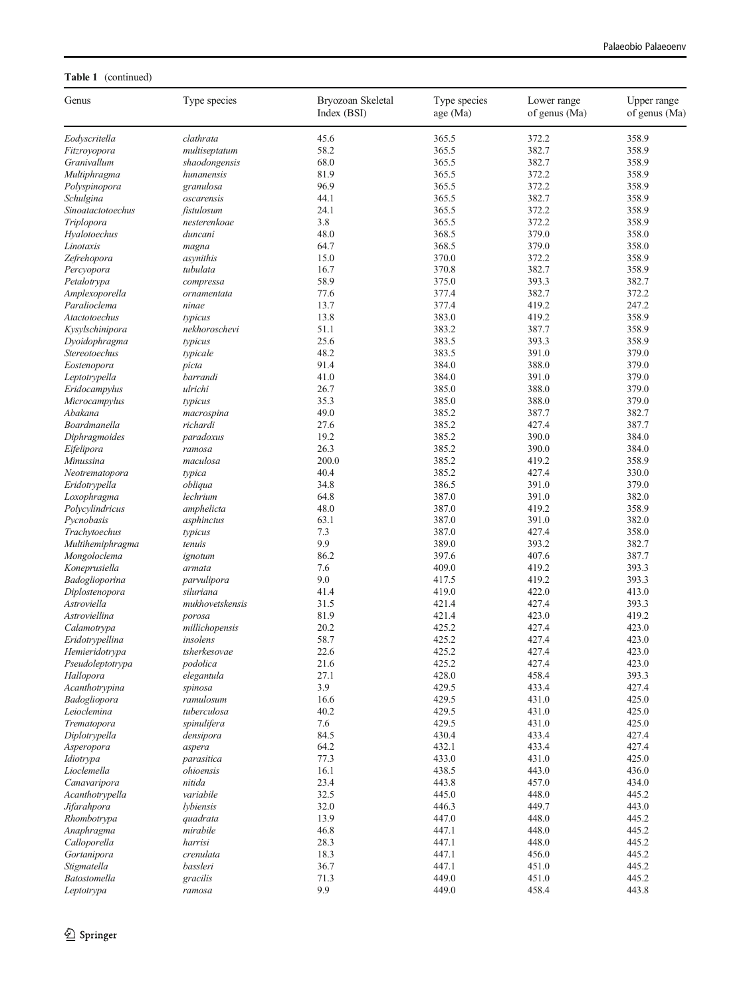## Table 1 (continued)

| Genus               | Type species    | Bryozoan Skeletal<br>Index (BSI) | Type species<br>age (Ma) | Lower range<br>of genus (Ma) | Upper range<br>of genus (Ma) |
|---------------------|-----------------|----------------------------------|--------------------------|------------------------------|------------------------------|
| Eodyscritella       | clathrata       | 45.6                             | 365.5                    | 372.2                        | 358.9                        |
| Fitzroyopora        | multiseptatum   | 58.2                             | 365.5                    | 382.7                        | 358.9                        |
| Granivallum         | shaodongensis   | 68.0                             | 365.5                    | 382.7                        | 358.9                        |
| Multiphragma        | hunanensis      | 81.9                             | 365.5                    | 372.2                        | 358.9                        |
| Polyspinopora       | granulosa       | 96.9                             | 365.5                    | 372.2                        | 358.9                        |
| Schulgina           | oscarensis      | 44.1                             | 365.5                    | 382.7                        | 358.9                        |
| Sinoatactotoechus   | fistulosum      | 24.1                             | 365.5                    | 372.2                        | 358.9                        |
| Triplopora          | nesterenkoae    | 3.8                              | 365.5                    | 372.2                        | 358.9                        |
| Hyalotoechus        | duncani         | 48.0                             | 368.5                    | 379.0                        | 358.0                        |
| Linotaxis           | magna           | 64.7                             | 368.5                    | 379.0                        | 358.0                        |
| Zefrehopora         | asynithis       | 15.0                             | 370.0                    | 372.2                        | 358.9                        |
| Percyopora          | tubulata        | 16.7                             | 370.8                    | 382.7                        | 358.9                        |
| Petalotrypa         | compressa       | 58.9                             | 375.0                    | 393.3                        | 382.7                        |
| Amplexoporella      | ornamentata     | 77.6                             | 377.4                    | 382.7                        | 372.2                        |
| Paralioclema        | ninae           | 13.7                             | 377.4                    | 419.2                        | 247.2                        |
| Atactotoechus       | typicus         | 13.8                             | 383.0                    | 419.2                        | 358.9                        |
| Kysylschinipora     | nekhoroschevi   | 51.1                             | 383.2                    | 387.7                        | 358.9                        |
|                     | typicus         | 25.6                             | 383.5                    | 393.3                        | 358.9                        |
| Dyoidophragma       |                 | 48.2                             | 383.5                    | 391.0                        |                              |
| Stereotoechus       | typicale        |                                  |                          |                              | 379.0                        |
| Eostenopora         | picta           | 91.4                             | 384.0                    | 388.0                        | 379.0                        |
| Leptotrypella       | barrandi        | 41.0                             | 384.0                    | 391.0                        | 379.0                        |
| Eridocampylus       | ulrichi         | 26.7                             | 385.0                    | 388.0                        | 379.0                        |
| Microcampylus       | typicus         | 35.3                             | 385.0                    | 388.0                        | 379.0                        |
| Abakana             | macrospina      | 49.0                             | 385.2                    | 387.7                        | 382.7                        |
| Boardmanella        | richardi        | 27.6                             | 385.2                    | 427.4                        | 387.7                        |
| Diphragmoides       | paradoxus       | 19.2                             | 385.2                    | 390.0                        | 384.0                        |
| Eifelipora          | ramosa          | 26.3                             | 385.2                    | 390.0                        | 384.0                        |
| Minussina           | maculosa        | 200.0                            | 385.2                    | 419.2                        | 358.9                        |
| Neotrematopora      | typica          | 40.4                             | 385.2                    | 427.4                        | 330.0                        |
| Eridotrypella       | obliqua         | 34.8                             | 386.5                    | 391.0                        | 379.0                        |
| Loxophragma         | lechrium        | 64.8                             | 387.0                    | 391.0                        | 382.0                        |
| Polycylindricus     | amphelicta      | 48.0                             | 387.0                    | 419.2                        | 358.9                        |
| Pycnobasis          | asphinctus      | 63.1                             | 387.0                    | 391.0                        | 382.0                        |
| Trachytoechus       | typicus         | 7.3                              | 387.0                    | 427.4                        | 358.0                        |
| Multihemiphragma    | tenuis          | 9.9                              | 389.0                    | 393.2                        | 382.7                        |
| Mongoloclema        | ignotum         | 86.2                             | 397.6                    | 407.6                        | 387.7                        |
| Koneprusiella       | armata          | 7.6                              | 409.0                    | 419.2                        | 393.3                        |
| Badoglioporina      | parvulipora     | 9.0                              | 417.5                    | 419.2                        | 393.3                        |
| Diplostenopora      | siluriana       | 41.4                             | 419.0                    | 422.0                        | 413.0                        |
| Astroviella         | mukhovetskensis | 31.5                             | 421.4                    | 427.4                        | 393.3                        |
| Astroviellina       | porosa          | 81.9                             | 421.4                    | 423.0                        | 419.2                        |
| Calamotrypa         | millichopensis  | 20.2                             | 425.2                    | 427.4                        | 423.0                        |
| Eridotrypellina     | insolens        | 58.7                             | 425.2                    | 427.4                        | 423.0                        |
| Hemieridotrypa      | tsherkesovae    | 22.6                             | 425.2                    | 427.4                        | 423.0                        |
| Pseudoleptotrypa    | podolica        | 21.6                             | 425.2                    | 427.4                        | 423.0                        |
| Hallopora           | elegantula      | 27.1                             | 428.0                    | 458.4                        | 393.3                        |
| Acanthotrypina      | spinosa         | 3.9                              | 429.5                    | 433.4                        | 427.4                        |
| Badogliopora        | ramulosum       | 16.6                             | 429.5                    | 431.0                        | 425.0                        |
| Leioclemina         | tuberculosa     | 40.2                             | 429.5                    | 431.0                        | 425.0                        |
| Trematopora         | spinulifera     | 7.6                              | 429.5                    | 431.0                        | 425.0                        |
| Diplotrypella       | densipora       | 84.5                             | 430.4                    | 433.4                        | 427.4                        |
|                     |                 | 64.2                             | 432.1                    |                              |                              |
| Asperopora          | aspera          |                                  |                          | 433.4                        | 427.4                        |
| Idiotrypa           | parasitica      | 77.3                             | 433.0                    | 431.0                        | 425.0                        |
| Lioclemella         | ohioensis       | 16.1                             | 438.5                    | 443.0                        | 436.0                        |
| Canavaripora        | nitida          | 23.4                             | 443.8                    | 457.0                        | 434.0                        |
| Acanthotrypella     | variabile       | 32.5                             | 445.0                    | 448.0                        | 445.2                        |
| Jifarahpora         | lybiensis       | 32.0                             | 446.3                    | 449.7                        | 443.0                        |
| Rhombotrypa         | quadrata        | 13.9                             | 447.0                    | 448.0                        | 445.2                        |
| Anaphragma          | mirabile        | 46.8                             | 447.1                    | 448.0                        | 445.2                        |
| Calloporella        | harrisi         | 28.3                             | 447.1                    | 448.0                        | 445.2                        |
| Gortanipora         | crenulata       | 18.3                             | 447.1                    | 456.0                        | 445.2                        |
| Stigmatella         | bassleri        | 36.7                             | 447.1                    | 451.0                        | 445.2                        |
| <b>Batostomella</b> | gracilis        | 71.3                             | 449.0                    | 451.0                        | 445.2                        |
| Leptotrypa          | ramosa          | 9.9                              | 449.0                    | 458.4                        | 443.8                        |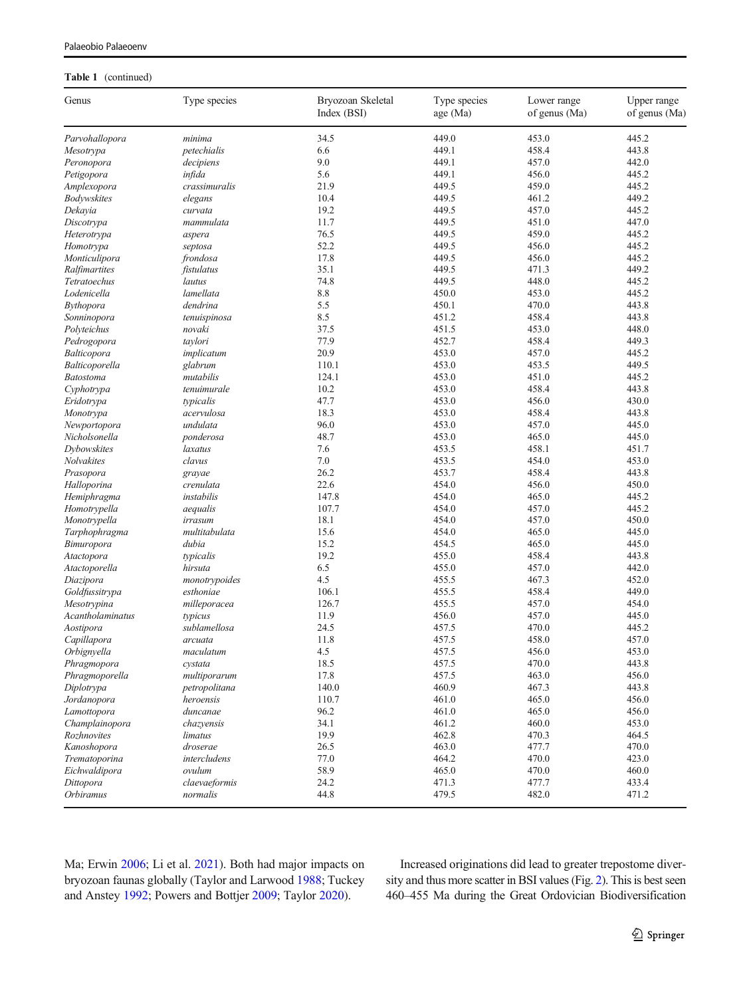| Genus            | Type species  | Bryozoan Skeletal<br>Index (BSI) | Type species<br>age (Ma) | Lower range<br>of genus (Ma) | Upper range<br>of genus (Ma) |
|------------------|---------------|----------------------------------|--------------------------|------------------------------|------------------------------|
| Parvohallopora   | minima        | 34.5                             | 449.0                    | 453.0                        | 445.2                        |
| Mesotrypa        | petechialis   | 6.6                              | 449.1                    | 458.4                        | 443.8                        |
| Peronopora       | decipiens     | 9.0                              | 449.1                    | 457.0                        | 442.0                        |
| Petigopora       | infida        | 5.6                              | 449.1                    | 456.0                        | 445.2                        |
| Amplexopora      | crassimuralis | 21.9                             | 449.5                    | 459.0                        | 445.2                        |
| Bodywskites      | elegans       | 10.4                             | 449.5                    | 461.2                        | 449.2                        |
| Dekayia          | curvata       | 19.2                             | 449.5                    | 457.0                        | 445.2                        |
| Discotrypa       | mammulata     | 11.7                             | 449.5                    | 451.0                        | 447.0                        |
| Heterotrypa      | aspera        | 76.5                             | 449.5                    | 459.0                        | 445.2                        |
| Homotrypa        | septosa       | 52.2                             | 449.5                    | 456.0                        | 445.2                        |
| Monticulipora    | frondosa      | 17.8                             | 449.5                    | 456.0                        | 445.2                        |
| Ralfimartites    | fistulatus    | 35.1                             | 449.5                    | 471.3                        | 449.2                        |
| Tetratoechus     | lautus        | 74.8                             | 449.5                    | 448.0                        | 445.2                        |
| Lodenicella      | lamellata     | 8.8                              | 450.0                    | 453.0                        | 445.2                        |
| Bythopora        | dendrina      | 5.5                              | 450.1                    | 470.0                        | 443.8                        |
| Sonninopora      | tenuispinosa  | 8.5                              | 451.2                    | 458.4                        | 443.8                        |
| Polyteichus      | novaki        | 37.5                             | 451.5                    | 453.0                        | 448.0                        |
| Pedrogopora      | taylori       | 77.9                             | 452.7                    | 458.4                        | 449.3                        |
| Balticopora      | implicatum    | 20.9                             | 453.0                    | 457.0                        | 445.2                        |
| Balticoporella   | glabrum       | 110.1                            | 453.0                    | 453.5                        | 449.5                        |
| Batostoma        | mutabilis     | 124.1                            | 453.0                    | 451.0                        | 445.2                        |
| Cyphotrypa       | tenuimurale   | 10.2                             | 453.0                    | 458.4                        | 443.8                        |
| Eridotrypa       | typicalis     | 47.7                             | 453.0                    | 456.0                        | 430.0                        |
| Monotrypa        | acervulosa    | 18.3                             | 453.0                    | 458.4                        | 443.8                        |
| Newportopora     | undulata      | 96.0                             | 453.0                    | 457.0                        | 445.0                        |
| Nicholsonella    | ponderosa     | 48.7                             | 453.0                    | 465.0                        | 445.0                        |
| Dybowskites      | laxatus       | 7.6                              | 453.5                    | 458.1                        | 451.7                        |
| Nolvakites       | clavus        | $7.0\,$                          | 453.5                    | 454.0                        | 453.0                        |
| Prasopora        | grayae        | 26.2                             | 453.7                    | 458.4                        | 443.8                        |
| Halloporina      | crenulata     | 22.6                             | 454.0                    | 456.0                        | 450.0                        |
| Hemiphragma      | instabilis    | 147.8                            | 454.0                    | 465.0                        | 445.2                        |
| Homotrypella     | aequalis      | 107.7                            | 454.0                    | 457.0                        | 445.2                        |
| Monotrypella     | irrasum       | 18.1                             | 454.0                    | 457.0                        | 450.0                        |
| Tarphophragma    | multitabulata | 15.6                             | 454.0                    | 465.0                        | 445.0                        |
| Bimuropora       | dubia         | 15.2                             | 454.5                    | 465.0                        | 445.0                        |
| Atactopora       | typicalis     | 19.2                             | 455.0                    | 458.4                        | 443.8                        |
| Atactoporella    | hirsuta       | 6.5                              | 455.0                    | 457.0                        | 442.0                        |
| Diazipora        | monotrypoides | 4.5                              | 455.5                    | 467.3                        | 452.0                        |
| Goldfussitrypa   | esthoniae     | 106.1                            | 455.5                    | 458.4                        | 449.0                        |
| Mesotrypina      | milleporacea  | 126.7                            | 455.5                    | 457.0                        | 454.0                        |
| Acantholaminatus | typicus       | 11.9                             | 456.0                    | 457.0                        | 445.0                        |
| Aostipora        | sublamellosa  | 24.5                             | 457.5                    | 470.0                        | 445.2                        |
| Capillapora      | arcuata       | 11.8                             | 457.5                    | 458.0                        | 457.0                        |
| Orbignyella      | maculatum     | 4.5                              | 457.5                    | 456.0                        | 453.0                        |
| Phragmopora      | cystata       | 18.5                             | 457.5                    | 470.0                        | 443.8                        |
| Phragmoporella   | multiporarum  | 17.8                             | 457.5                    | 463.0                        | 456.0                        |
| Diplotrypa       | petropolitana | 140.0                            | 460.9                    | 467.3                        | 443.8                        |
| Jordanopora      | heroensis     | 110.7                            | 461.0                    | 465.0                        | 456.0                        |
| Lamottopora      | duncanae      | 96.2                             | 461.0                    | 465.0                        | 456.0                        |
| Champlainopora   | chazyensis    | 34.1                             | 461.2                    | 460.0                        | 453.0                        |
| Rozhnovites      | limatus       | 19.9                             | 462.8                    | 470.3                        | 464.5                        |
| Kanoshopora      | droserae      | 26.5                             | 463.0                    | 477.7                        | 470.0                        |
| Trematoporina    | intercludens  | 77.0                             | 464.2                    | 470.0                        | 423.0                        |
| Eichwaldipora    | ovulum        | 58.9                             | 465.0                    | 470.0                        | 460.0                        |
| Dittopora        | claevaeformis | 24.2                             | 471.3                    | 477.7                        | 433.4                        |
| Orbiramus        | normalis      | 44.8                             | 479.5                    | 482.0                        | 471.2                        |

#### Table 1 (continued)

Ma; Erwin [2006;](#page-9-0) Li et al. [2021\)](#page-9-0). Both had major impacts on bryozoan faunas globally (Taylor and Larwood [1988](#page-10-0); Tuckey and Anstey [1992;](#page-10-0) Powers and Bottjer [2009;](#page-9-0) Taylor [2020\)](#page-10-0).

Increased originations did lead to greater trepostome diversity and thus more scatter in BSI values (Fig. [2](#page-3-0)). This is best seen 460–455 Ma during the Great Ordovician Biodiversification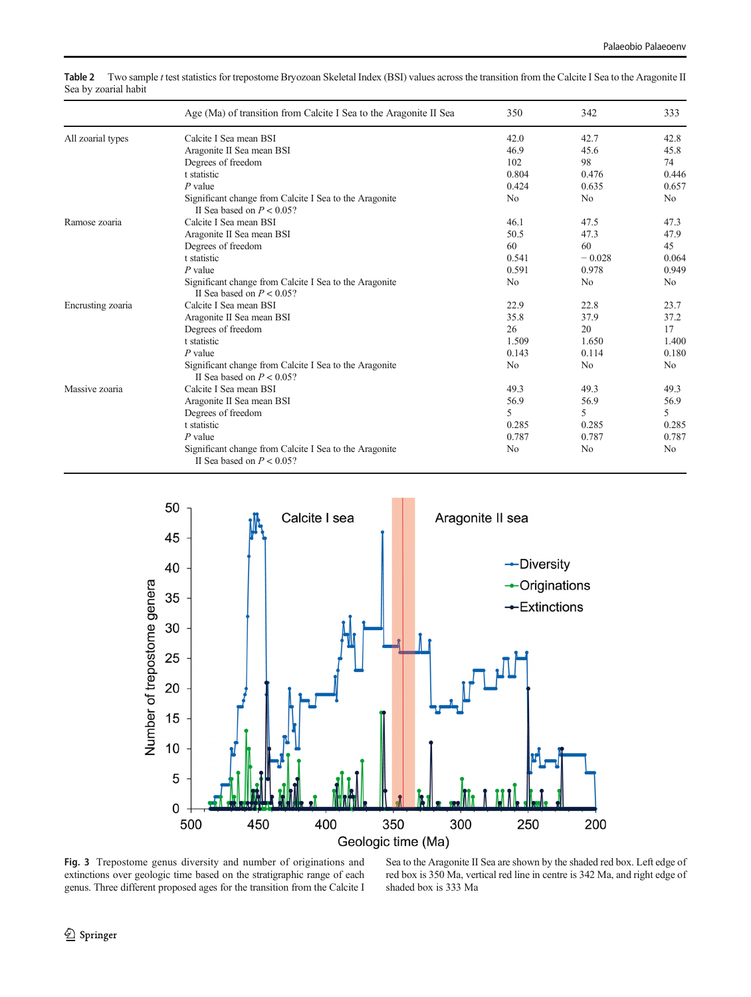|                   | Age (Ma) of transition from Calcite I Sea to the Aragonite II Sea                      | 350            | 342            | 333            |
|-------------------|----------------------------------------------------------------------------------------|----------------|----------------|----------------|
| All zoarial types | Calcite I Sea mean BSI                                                                 | 42.0           | 42.7           | 42.8           |
|                   | Aragonite II Sea mean BSI                                                              | 46.9           | 45.6           | 45.8           |
|                   | Degrees of freedom                                                                     | 102            | 98             | 74             |
|                   | t statistic                                                                            | 0.804          | 0.476          | 0.446          |
|                   | $P$ value                                                                              | 0.424          | 0.635          | 0.657          |
|                   | Significant change from Calcite I Sea to the Aragonite<br>II Sea based on $P < 0.05$ ? | N <sub>0</sub> | N <sub>0</sub> | N <sub>0</sub> |
| Ramose zoaria     | Calcite I Sea mean BSI                                                                 | 46.1           | 47.5           | 47.3           |
|                   | Aragonite II Sea mean BSI                                                              | 50.5           | 47.3           | 47.9           |
|                   | Degrees of freedom                                                                     | 60             | 60             | 45             |
|                   | t statistic                                                                            | 0.541          | $-0.028$       | 0.064          |
|                   | $P$ value                                                                              | 0.591          | 0.978          | 0.949          |
|                   | Significant change from Calcite I Sea to the Aragonite<br>II Sea based on $P < 0.05$ ? | No             | No             | N <sub>0</sub> |
| Encrusting zoaria | Calcite I Sea mean BSI                                                                 | 22.9           | 22.8           | 23.7           |
|                   | Aragonite II Sea mean BSI                                                              | 35.8           | 37.9           | 37.2           |
|                   | Degrees of freedom                                                                     | 26             | 20             | 17             |
|                   | t statistic                                                                            | 1.509          | 1.650          | 1.400          |
|                   | $P$ value                                                                              | 0.143          | 0.114          | 0.180          |
|                   | Significant change from Calcite I Sea to the Aragonite<br>II Sea based on $P < 0.05$ ? | N <sub>0</sub> | N <sub>0</sub> | N <sub>0</sub> |
| Massive zoaria    | Calcite I Sea mean BSI                                                                 | 49.3           | 49.3           | 49.3           |
|                   | Aragonite II Sea mean BSI                                                              | 56.9           | 56.9           | 56.9           |
|                   | Degrees of freedom                                                                     | 5              | 5              | 5              |
|                   | t statistic                                                                            | 0.285          | 0.285          | 0.285          |
|                   | $P$ value                                                                              | 0.787          | 0.787          | 0.787          |
|                   | Significant change from Calcite I Sea to the Aragonite<br>II Sea based on $P < 0.05$ ? | N <sub>0</sub> | N <sub>0</sub> | N <sub>0</sub> |

<span id="page-7-0"></span>Table 2 Two sample t test statistics for trepostome Bryozoan Skeletal Index (BSI) values across the transition from the Calcite I Sea to the Aragonite II Sea by zoarial habit



Fig. 3 Trepostome genus diversity and number of originations and extinctions over geologic time based on the stratigraphic range of each genus. Three different proposed ages for the transition from the Calcite I

Sea to the Aragonite II Sea are shown by the shaded red box. Left edge of red box is 350 Ma, vertical red line in centre is 342 Ma, and right edge of shaded box is 333 Ma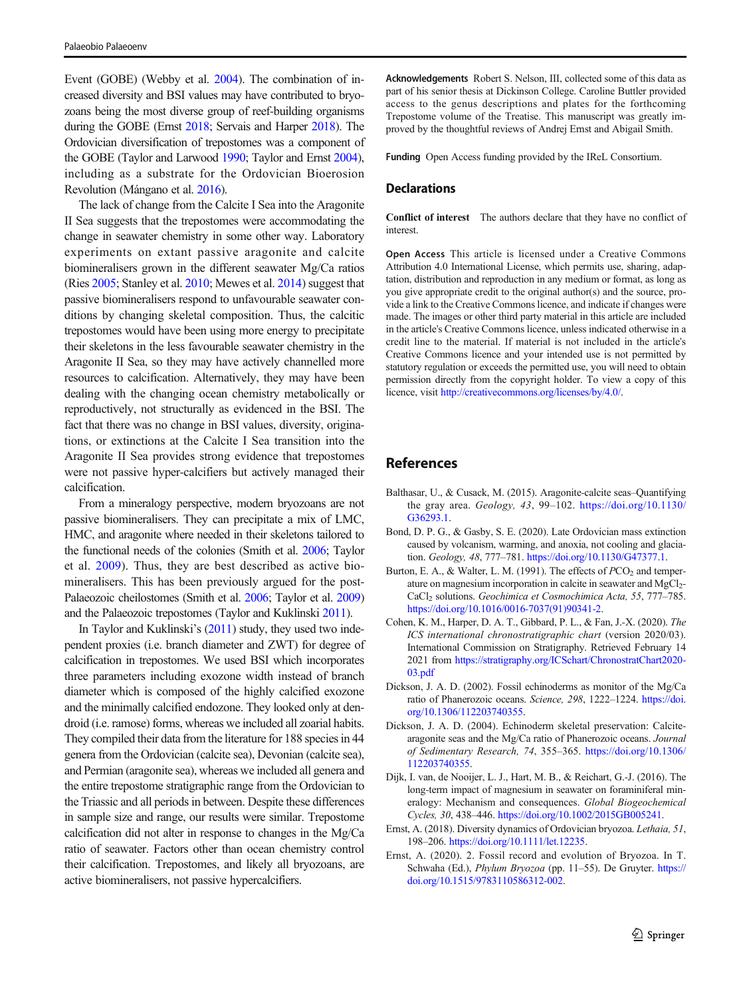<span id="page-8-0"></span>Event (GOBE) (Webby et al. [2004\)](#page-10-0). The combination of increased diversity and BSI values may have contributed to bryozoans being the most diverse group of reef-building organisms during the GOBE (Ernst 2018; Servais and Harper [2018](#page-9-0)). The Ordovician diversification of trepostomes was a component of the GOBE (Taylor and Larwood [1990;](#page-10-0) Taylor and Ernst [2004\)](#page-10-0), including as a substrate for the Ordovician Bioerosion Revolution (Mángano et al. [2016](#page-9-0)).

The lack of change from the Calcite I Sea into the Aragonite II Sea suggests that the trepostomes were accommodating the change in seawater chemistry in some other way. Laboratory experiments on extant passive aragonite and calcite biomineralisers grown in the different seawater Mg/Ca ratios (Ries [2005](#page-9-0); Stanley et al. [2010](#page-9-0); Mewes et al. [2014](#page-9-0)) suggest that passive biomineralisers respond to unfavourable seawater conditions by changing skeletal composition. Thus, the calcitic trepostomes would have been using more energy to precipitate their skeletons in the less favourable seawater chemistry in the Aragonite II Sea, so they may have actively channelled more resources to calcification. Alternatively, they may have been dealing with the changing ocean chemistry metabolically or reproductively, not structurally as evidenced in the BSI. The fact that there was no change in BSI values, diversity, originations, or extinctions at the Calcite I Sea transition into the Aragonite II Sea provides strong evidence that trepostomes were not passive hyper-calcifiers but actively managed their calcification.

From a mineralogy perspective, modern bryozoans are not passive biomineralisers. They can precipitate a mix of LMC, HMC, and aragonite where needed in their skeletons tailored to the functional needs of the colonies (Smith et al. [2006;](#page-9-0) Taylor et al. [2009](#page-10-0)). Thus, they are best described as active biomineralisers. This has been previously argued for the post-Palaeozoic cheilostomes (Smith et al. [2006;](#page-9-0) Taylor et al. [2009\)](#page-10-0) and the Palaeozoic trepostomes (Taylor and Kuklinski [2011\)](#page-10-0).

In Taylor and Kuklinski's [\(2011](#page-10-0)) study, they used two independent proxies (i.e. branch diameter and ZWT) for degree of calcification in trepostomes. We used BSI which incorporates three parameters including exozone width instead of branch diameter which is composed of the highly calcified exozone and the minimally calcified endozone. They looked only at dendroid (i.e. ramose) forms, whereas we included all zoarial habits. They compiled their data from the literature for 188 species in 44 genera from the Ordovician (calcite sea), Devonian (calcite sea), and Permian (aragonite sea), whereas we included all genera and the entire trepostome stratigraphic range from the Ordovician to the Triassic and all periods in between. Despite these differences in sample size and range, our results were similar. Trepostome calcification did not alter in response to changes in the Mg/Ca ratio of seawater. Factors other than ocean chemistry control their calcification. Trepostomes, and likely all bryozoans, are active biomineralisers, not passive hypercalcifiers.

Acknowledgements Robert S. Nelson, III, collected some of this data as part of his senior thesis at Dickinson College. Caroline Buttler provided access to the genus descriptions and plates for the forthcoming Trepostome volume of the Treatise. This manuscript was greatly improved by the thoughtful reviews of Andrej Ernst and Abigail Smith.

Funding Open Access funding provided by the IReL Consortium.

#### **Declarations**

Conflict of interest The authors declare that they have no conflict of interest.

Open Access This article is licensed under a Creative Commons Attribution 4.0 International License, which permits use, sharing, adaptation, distribution and reproduction in any medium or format, as long as you give appropriate credit to the original author(s) and the source, provide a link to the Creative Commons licence, and indicate if changes were made. The images or other third party material in this article are included in the article's Creative Commons licence, unless indicated otherwise in a credit line to the material. If material is not included in the article's Creative Commons licence and your intended use is not permitted by statutory regulation or exceeds the permitted use, you will need to obtain permission directly from the copyright holder. To view a copy of this licence, visit <http://creativecommons.org/licenses/by/4.0/>.

## References

- Balthasar, U., & Cusack, M. (2015). Aragonite-calcite seas–Quantifying the gray area. Geology, 43, 99–102. [https://doi.org/10.1130/](https://doi.org/10.1130/G36293.1) [G36293.1.](https://doi.org/10.1130/G36293.1)
- Bond, D. P. G., & Gasby, S. E. (2020). Late Ordovician mass extinction caused by volcanism, warming, and anoxia, not cooling and glaciation. Geology, 48, 777–781. [https://doi.org/10.1130/G47377.1.](https://doi.org/10.1130/G47377.1)
- Burton, E. A., & Walter, L. M. (1991). The effects of  $PCO<sub>2</sub>$  and temperature on magnesium incorporation in calcite in seawater and MgCl<sub>2</sub>-CaCl<sub>2</sub> solutions. Geochimica et Cosmochimica Acta, 55, 777-785. [https://doi.org/10.1016/0016-7037\(91\)90341-2.](https://doi.org/10.1016/0016-7037(91)90341-2)
- Cohen, K. M., Harper, D. A. T., Gibbard, P. L., & Fan, J.-X. (2020). The ICS international chronostratigraphic chart (version 2020/03). International Commission on Stratigraphy. Retrieved February 14 2021 from [https://stratigraphy.org/ICSchart/ChronostratChart2020-](https://stratigraphy.org/ICSchart/ChronostratChart2020-03.pdf) [03.pdf](https://stratigraphy.org/ICSchart/ChronostratChart2020-03.pdf)
- Dickson, J. A. D. (2002). Fossil echinoderms as monitor of the Mg/Ca ratio of Phanerozoic oceans. Science, 298, 1222–1224. [https://doi.](https://doi.org/10.1306/112203740355) [org/10.1306/112203740355.](https://doi.org/10.1306/112203740355)
- Dickson, J. A. D. (2004). Echinoderm skeletal preservation: Calcitearagonite seas and the Mg/Ca ratio of Phanerozoic oceans. Journal of Sedimentary Research, 74, 355–365. [https://doi.org/10.1306/](https://doi.org/10.1306/112203740355) [112203740355.](https://doi.org/10.1306/112203740355)
- Dijk, I. van, de Nooijer, L. J., Hart, M. B., & Reichart, G.-J. (2016). The long-term impact of magnesium in seawater on foraminiferal mineralogy: Mechanism and consequences. Global Biogeochemical Cycles, 30, 438–446. [https://doi.org/10.1002/2015GB005241.](https://doi.org/10.1002/2015GB005241)
- Ernst, A. (2018). Diversity dynamics of Ordovician bryozoa. Lethaia, 51, 198–206. <https://doi.org/10.1111/let.12235>.
- Ernst, A. (2020). 2. Fossil record and evolution of Bryozoa. In T. Schwaha (Ed.), Phylum Bryozoa (pp. 11–55). De Gruyter. [https://](https://doi.org/10.1515/9783110586312-002) [doi.org/10.1515/9783110586312-002.](https://doi.org/10.1515/9783110586312-002)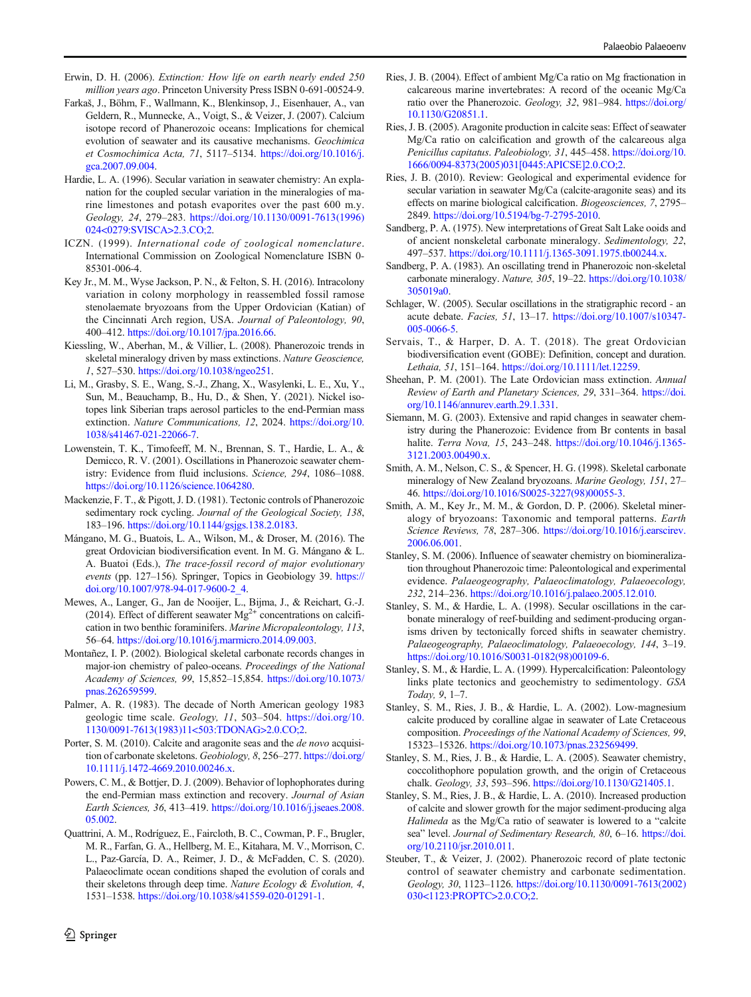- <span id="page-9-0"></span>Erwin, D. H. (2006). Extinction: How life on earth nearly ended 250 million years ago. Princeton University Press ISBN 0-691-00524-9.
- Farkaš, J., Böhm, F., Wallmann, K., Blenkinsop, J., Eisenhauer, A., van Geldern, R., Munnecke, A., Voigt, S., & Veizer, J. (2007). Calcium isotope record of Phanerozoic oceans: Implications for chemical evolution of seawater and its causative mechanisms. Geochimica et Cosmochimica Acta, 71, 5117–5134. [https://doi.org/10.1016/j.](https://doi.org/10.1016/j.gca.2007.09.004) [gca.2007.09.004.](https://doi.org/10.1016/j.gca.2007.09.004)
- Hardie, L. A. (1996). Secular variation in seawater chemistry: An explanation for the coupled secular variation in the mineralogies of marine limestones and potash evaporites over the past 600 m.y. Geology, 24, 279–283. [https://doi.org/10.1130/0091-7613\(1996\)](https://doi.org/10.1130/0091-7613(1996)024<0279:SVISCA>2.3.CO;2) [024<0279:SVISCA>2.3.CO;2.](https://doi.org/10.1130/0091-7613(1996)024<0279:SVISCA>2.3.CO;2)
- ICZN. (1999). International code of zoological nomenclature. International Commission on Zoological Nomenclature ISBN 0- 85301-006-4.
- Key Jr., M. M., Wyse Jackson, P. N., & Felton, S. H. (2016). Intracolony variation in colony morphology in reassembled fossil ramose stenolaemate bryozoans from the Upper Ordovician (Katian) of the Cincinnati Arch region, USA. Journal of Paleontology, 90, 400–412. <https://doi.org/10.1017/jpa.2016.66>.
- Kiessling, W., Aberhan, M., & Villier, L. (2008). Phanerozoic trends in skeletal mineralogy driven by mass extinctions. Nature Geoscience, 1, 527–530. <https://doi.org/10.1038/ngeo251>.
- Li, M., Grasby, S. E., Wang, S.-J., Zhang, X., Wasylenki, L. E., Xu, Y., Sun, M., Beauchamp, B., Hu, D., & Shen, Y. (2021). Nickel isotopes link Siberian traps aerosol particles to the end-Permian mass extinction. Nature Communications, 12, 2024. [https://doi.org/10.](https://doi.org/10.1038/s41467-021-22066-7) [1038/s41467-021-22066-7.](https://doi.org/10.1038/s41467-021-22066-7)
- Lowenstein, T. K., Timofeeff, M. N., Brennan, S. T., Hardie, L. A., & Demicco, R. V. (2001). Oscillations in Phanerozoic seawater chemistry: Evidence from fluid inclusions. Science, 294, 1086–1088. [https://doi.org/10.1126/science.1064280.](https://doi.org/10.1126/science.1064280)
- Mackenzie, F. T., & Pigott, J. D. (1981). Tectonic controls of Phanerozoic sedimentary rock cycling. Journal of the Geological Society, 138, 183–196. <https://doi.org/10.1144/gsjgs.138.2.0183>.
- Mángano, M. G., Buatois, L. A., Wilson, M., & Droser, M. (2016). The great Ordovician biodiversification event. In M. G. Mángano & L. A. Buatoi (Eds.), The trace-fossil record of major evolutionary events (pp. 127–156). Springer, Topics in Geobiology 39. [https://](https://doi.org/10.1007/978-94-017-9600-2_4) [doi.org/10.1007/978-94-017-9600-2\\_4](https://doi.org/10.1007/978-94-017-9600-2_4).
- Mewes, A., Langer, G., Jan de Nooijer, L., Bijma, J., & Reichart, G.-J. (2014). Effect of different seawater  $Mg^{2+}$  concentrations on calcification in two benthic foraminifers. Marine Micropaleontology, 113, 56–64. <https://doi.org/10.1016/j.marmicro.2014.09.003>.
- Montañez, I. P. (2002). Biological skeletal carbonate records changes in major-ion chemistry of paleo-oceans. Proceedings of the National Academy of Sciences, 99, 15,852–15,854. [https://doi.org/10.1073/](https://doi.org/10.1073/pnas.262659599) [pnas.262659599](https://doi.org/10.1073/pnas.262659599).
- Palmer, A. R. (1983). The decade of North American geology 1983 geologic time scale. Geology, 11, 503–504. [https://doi.org/10.](https://doi.org/10.1130/0091-7613(1983)11<503:TDONAG>2.0.CO;2) [1130/0091-7613\(1983\)11<503:TDONAG>2.0.CO;2.](https://doi.org/10.1130/0091-7613(1983)11<503:TDONAG>2.0.CO;2)
- Porter, S. M. (2010). Calcite and aragonite seas and the de novo acquisition of carbonate skeletons. Geobiology, 8, 256–277. [https://doi.org/](https://doi.org/10.1111/j.1472-4669.2010.00246.x) [10.1111/j.1472-4669.2010.00246.x](https://doi.org/10.1111/j.1472-4669.2010.00246.x).
- Powers, C. M., & Bottjer, D. J. (2009). Behavior of lophophorates during the end-Permian mass extinction and recovery. Journal of Asian Earth Sciences, 36, 413–419. [https://doi.org/10.1016/j.jseaes.2008.](https://doi.org/10.1016/j.jseaes.2008.05.002) [05.002.](https://doi.org/10.1016/j.jseaes.2008.05.002)
- Quattrini, A. M., Rodríguez, E., Faircloth, B. C., Cowman, P. F., Brugler, M. R., Farfan, G. A., Hellberg, M. E., Kitahara, M. V., Morrison, C. L., Paz-García, D. A., Reimer, J. D., & McFadden, C. S. (2020). Palaeoclimate ocean conditions shaped the evolution of corals and their skeletons through deep time. Nature Ecology & Evolution, 4, 1531–1538. <https://doi.org/10.1038/s41559-020-01291-1>.
- Ries, J. B. (2005). Aragonite production in calcite seas: Effect of seawater Mg/Ca ratio on calcification and growth of the calcareous alga Penicillus capitatus. Paleobiology, 31, 445–458. [https://doi.org/10.](https://doi.org/10.1666/0094-8373(2005)031<0445:APICSE>2.0.CO;2) [1666/0094-8373\(2005\)031\[0445:APICSE\]2.0.CO;2](https://doi.org/10.1666/0094-8373(2005)031<0445:APICSE>2.0.CO;2).
- Ries, J. B. (2010). Review: Geological and experimental evidence for secular variation in seawater Mg/Ca (calcite-aragonite seas) and its effects on marine biological calcification. Biogeosciences, 7, 2795– 2849. <https://doi.org/10.5194/bg-7-2795-2010>.
- Sandberg, P. A. (1975). New interpretations of Great Salt Lake ooids and of ancient nonskeletal carbonate mineralogy. Sedimentology, 22, 497–537. <https://doi.org/10.1111/j.1365-3091.1975.tb00244.x>.
- Sandberg, P. A. (1983). An oscillating trend in Phanerozoic non-skeletal carbonate mineralogy. Nature, 305, 19–22. [https://doi.org/10.1038/](https://doi.org/10.1038/305019a0) [305019a0.](https://doi.org/10.1038/305019a0)
- Schlager, W. (2005). Secular oscillations in the stratigraphic record an acute debate. Facies, 51, 13–17. [https://doi.org/10.1007/s10347-](https://doi.org/10.1007/s10347-005-0066-5) [005-0066-5](https://doi.org/10.1007/s10347-005-0066-5).
- Servais, T., & Harper, D. A. T. (2018). The great Ordovician biodiversification event (GOBE): Definition, concept and duration. Lethaia, 51, 151–164. [https://doi.org/10.1111/let.12259.](https://doi.org/10.1111/let.12259)
- Sheehan, P. M. (2001). The Late Ordovician mass extinction. Annual Review of Earth and Planetary Sciences, 29, 331–364. [https://doi.](https://doi.org/10.1146/annurev.earth.29.1.331) [org/10.1146/annurev.earth.29.1.331.](https://doi.org/10.1146/annurev.earth.29.1.331)
- Siemann, M. G. (2003). Extensive and rapid changes in seawater chemistry during the Phanerozoic: Evidence from Br contents in basal halite. Terra Nova, 15, 243–248. [https://doi.org/10.1046/j.1365-](https://doi.org/10.1046/j.1365-3121.2003.00490.x) [3121.2003.00490.x](https://doi.org/10.1046/j.1365-3121.2003.00490.x).
- Smith, A. M., Nelson, C. S., & Spencer, H. G. (1998). Skeletal carbonate mineralogy of New Zealand bryozoans. Marine Geology, 151, 27– 46. [https://doi.org/10.1016/S0025-3227\(98\)00055-3.](https://doi.org/10.1016/S0025-3227(98)00055-3)
- Smith, A. M., Key Jr., M. M., & Gordon, D. P. (2006). Skeletal mineralogy of bryozoans: Taxonomic and temporal patterns. Earth Science Reviews, 78, 287–306. [https://doi.org/10.1016/j.earscirev.](https://doi.org/10.1016/j.earscirev.2006.06.001) [2006.06.001](https://doi.org/10.1016/j.earscirev.2006.06.001).
- Stanley, S. M. (2006). Influence of seawater chemistry on biomineralization throughout Phanerozoic time: Paleontological and experimental evidence. Palaeogeography, Palaeoclimatology, Palaeoecology, 232, 214–236. [https://doi.org/10.1016/j.palaeo.2005.12.010.](https://doi.org/10.1016/j.palaeo.2005.12.010)
- Stanley, S. M., & Hardie, L. A. (1998). Secular oscillations in the carbonate mineralogy of reef-building and sediment-producing organisms driven by tectonically forced shifts in seawater chemistry. Palaeogeography, Palaeoclimatology, Palaeoecology, 144, 3–19. [https://doi.org/10.1016/S0031-0182\(98\)00109-6](https://doi.org/10.1016/S0031-0182(98)00109-6).
- Stanley, S. M., & Hardie, L. A. (1999). Hypercalcification: Paleontology links plate tectonics and geochemistry to sedimentology. GSA Today, 9, 1–7.
- Stanley, S. M., Ries, J. B., & Hardie, L. A. (2002). Low-magnesium calcite produced by coralline algae in seawater of Late Cretaceous composition. Proceedings of the National Academy of Sciences, 99, 15323–15326. <https://doi.org/10.1073/pnas.232569499>.
- Stanley, S. M., Ries, J. B., & Hardie, L. A. (2005). Seawater chemistry, coccolithophore population growth, and the origin of Cretaceous chalk. Geology, 33, 593–596. [https://doi.org/10.1130/G21405.1.](https://doi.org/10.1130/G21405.1)
- Stanley, S. M., Ries, J. B., & Hardie, L. A. (2010). Increased production of calcite and slower growth for the major sediment-producing alga Halimeda as the Mg/Ca ratio of seawater is lowered to a "calcite sea" level. Journal of Sedimentary Research, 80, 6-16. [https://doi.](https://doi.org/10.2110/jsr.2010.011) [org/10.2110/jsr.2010.011](https://doi.org/10.2110/jsr.2010.011).
- Steuber, T., & Veizer, J. (2002). Phanerozoic record of plate tectonic control of seawater chemistry and carbonate sedimentation. Geology, 30, 1123–1126. [https://doi.org/10.1130/0091-7613\(2002\)](https://doi.org/10.1130/0091-7613(2002)030<1123:PROPTC>2.0.CO;2) [030<1123:PROPTC>2.0.CO;2.](https://doi.org/10.1130/0091-7613(2002)030<1123:PROPTC>2.0.CO;2)